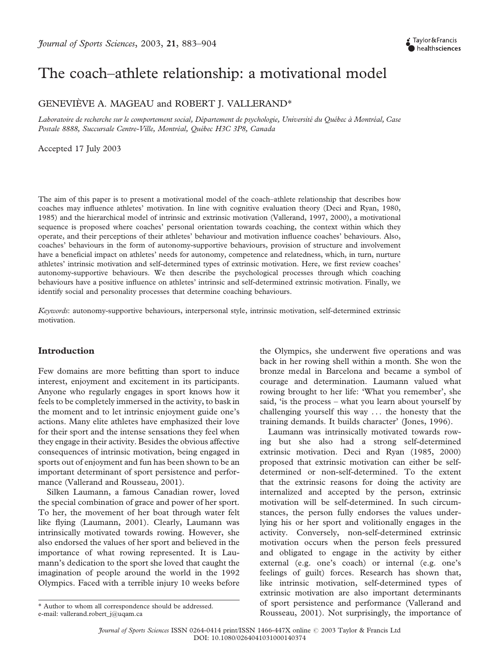# The coach–athlete relationship: a motivational model

# GENEVIÈVE A. MAGEAU and ROBERT J. VALLERAND\*

Laboratoire de recherche sur le comportement social, Département de psychologie, Université du Québec à Montréal, Case Postale 8888, Succursale Centre-Ville, Montréal, Québec H3C 3P8, Canada

Accepted 17 July 2003

The aim of this paper is to present a motivational model of the coach–athlete relationship that describes how coaches may influence athletes' motivation. In line with cognitive evaluation theory (Deci and Ryan, 1980, 1985) and the hierarchical model of intrinsic and extrinsic motivation (Vallerand, 1997, 2000), a motivational sequence is proposed where coaches' personal orientation towards coaching, the context within which they operate, and their perceptions of their athletes' behaviour and motivation influence coaches' behaviours. Also, coaches' behaviours in the form of autonomy-supportive behaviours, provision of structure and involvement have a beneficial impact on athletes' needs for autonomy, competence and relatedness, which, in turn, nurture athletes' intrinsic motivation and self-determined types of extrinsic motivation. Here, we first review coaches' autonomy-supportive behaviours. We then describe the psychological processes through which coaching behaviours have a positive influence on athletes' intrinsic and self-determined extrinsic motivation. Finally, we identify social and personality processes that determine coaching behaviours.

Keywords: autonomy-supportive behaviours, interpersonal style, intrinsic motivation, self-determined extrinsic motivation.

# Introduction

Few domains are more befitting than sport to induce interest, enjoyment and excitement in its participants. Anyone who regularly engages in sport knows how it feels to be completely immersed in the activity, to bask in the moment and to let intrinsic enjoyment guide one's actions. Many elite athletes have emphasized their love for their sport and the intense sensations they feel when they engage in their activity. Besides the obvious affective consequences of intrinsic motivation, being engaged in sports out of enjoyment and fun has been shown to be an important determinant of sport persistence and performance (Vallerand and Rousseau, 2001).

Silken Laumann, a famous Canadian rower, loved the special combination of grace and power of her sport. To her, the movement of her boat through water felt like flying (Laumann, 2001). Clearly, Laumann was intrinsically motivated towards rowing. However, she also endorsed the values of her sport and believed in the importance of what rowing represented. It is Laumann's dedication to the sport she loved that caught the imagination of people around the world in the 1992 Olympics. Faced with a terrible injury 10 weeks before

the Olympics, she underwent five operations and was back in her rowing shell within a month. She won the bronze medal in Barcelona and became a symbol of courage and determination. Laumann valued what rowing brought to her life: 'What you remember', she said, 'is the process – what you learn about yourself by challenging yourself this way . . . the honesty that the training demands. It builds character' (Jones, 1996).

Laumann was intrinsically motivated towards rowing but she also had a strong self-determined extrinsic motivation. Deci and Ryan (1985, 2000) proposed that extrinsic motivation can either be selfdetermined or non-self-determined. To the extent that the extrinsic reasons for doing the activity are internalized and accepted by the person, extrinsic motivation will be self-determined. In such circumstances, the person fully endorses the values underlying his or her sport and volitionally engages in the activity. Conversely, non-self-determined extrinsic motivation occurs when the person feels pressured and obligated to engage in the activity by either external (e.g. one's coach) or internal (e.g. one's feelings of guilt) forces. Research has shown that, like intrinsic motivation, self-determined types of extrinsic motivation are also important determinants of sport persistence and performance (Vallerand and Author to whom all correspondence should be addressed.<br>
Rousseau, 2001). Not surprisingly, the importance of \* Rousseau, 2001). Not surprisingly, the importance of

e-mail: vallerand.robert\_j@uqam.ca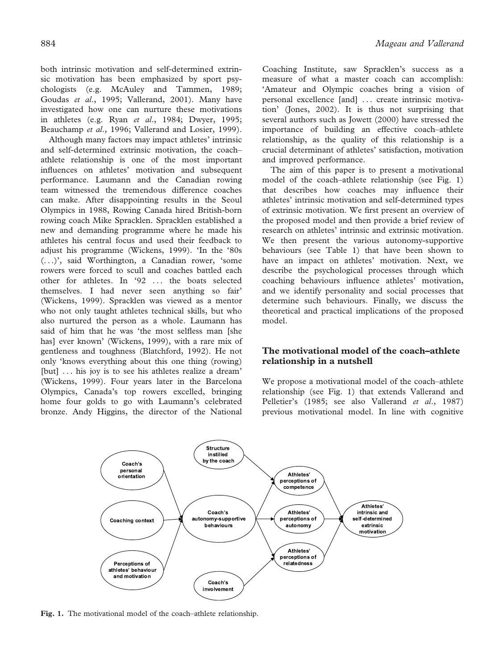both intrinsic motivation and self-determined extrinsic motivation has been emphasized by sport psychologists (e.g. McAuley and Tammen, 1989; Goudas et al., 1995; Vallerand, 2001). Many have investigated how one can nurture these motivations in athletes (e.g. Ryan et al., 1984; Dwyer, 1995; Beauchamp et al., 1996; Vallerand and Losier, 1999).

Although many factors may impact athletes' intrinsic and self-determined extrinsic motivation, the coach– athlete relationship is one of the most important influences on athletes' motivation and subsequent performance. Laumann and the Canadian rowing team witnessed the tremendous difference coaches can make. After disappointing results in the Seoul Olympics in 1988, Rowing Canada hired British-born rowing coach Mike Spracklen. Spracklen established a new and demanding programme where he made his athletes his central focus and used their feedback to adjust his programme (Wickens, 1999). 'In the '80s (. . .)', said Worthington, a Canadian rower, 'some rowers were forced to scull and coaches battled each other for athletes. In '92 ... the boats selected themselves. I had never seen anything so fair' (Wickens, 1999). Spracklen was viewed as a mentor who not only taught athletes technical skills, but who also nurtured the person as a whole. Laumann has said of him that he was 'the most selfless man [she has] ever known' (Wickens, 1999), with a rare mix of gentleness and toughness (Blatchford, 1992). He not only 'knows everything about this one thing (rowing) [but] ... his joy is to see his athletes realize a dream' (Wickens, 1999). Four years later in the Barcelona Olympics, Canada's top rowers excelled, bringing home four golds to go with Laumann's celebrated bronze. Andy Higgins, the director of the National Coaching Institute, saw Spracklen's success as a measure of what a master coach can accomplish: 'Amateur and Olympic coaches bring a vision of personal excellence [and] ... create intrinsic motivation' (Jones, 2002). It is thus not surprising that several authors such as Jowett (2000) have stressed the importance of building an effective coach–athlete relationship, as the quality of this relationship is a crucial determinant of athletes' satisfaction, motivation and improved performance.

The aim of this paper is to present a motivational model of the coach–athlete relationship (see Fig. 1) that describes how coaches may influence their athletes' intrinsic motivation and self-determined types of extrinsic motivation. We first present an overview of the proposed model and then provide a brief review of research on athletes' intrinsic and extrinsic motivation. We then present the various autonomy-supportive behaviours (see Table 1) that have been shown to have an impact on athletes' motivation. Next, we describe the psychological processes through which coaching behaviours influence athletes' motivation, and we identify personality and social processes that determine such behaviours. Finally, we discuss the theoretical and practical implications of the proposed model.

# The motivational model of the coach–athlete relationship in a nutshell

We propose a motivational model of the coach–athlete relationship (see Fig. 1) that extends Vallerand and Pelletier's (1985; see also Vallerand et al., 1987) previous motivational model. In line with cognitive



Fig. 1. The motivational model of the coach–athlete relationship.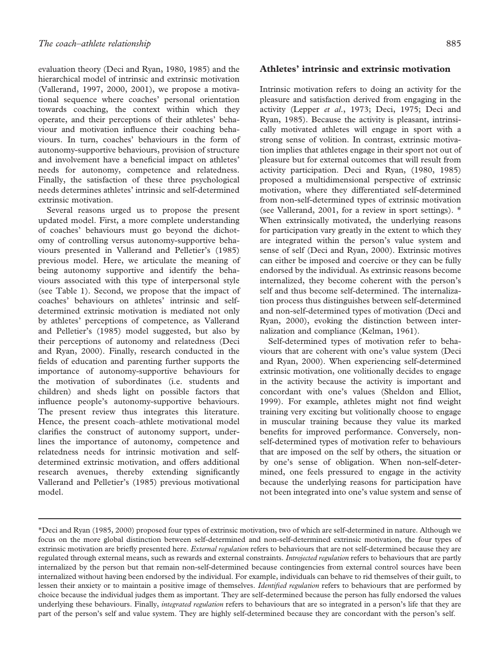evaluation theory (Deci and Ryan, 1980, 1985) and the hierarchical model of intrinsic and extrinsic motivation (Vallerand, 1997, 2000, 2001), we propose a motivational sequence where coaches' personal orientation towards coaching, the context within which they operate, and their perceptions of their athletes' behaviour and motivation influence their coaching behaviours. In turn, coaches' behaviours in the form of autonomy-supportive behaviours, provision of structure and involvement have a beneficial impact on athletes' needs for autonomy, competence and relatedness. Finally, the satisfaction of these three psychological needs determines athletes' intrinsic and self-determined extrinsic motivation.

Several reasons urged us to propose the present updated model. First, a more complete understanding of coaches' behaviours must go beyond the dichotomy of controlling versus autonomy-supportive behaviours presented in Vallerand and Pelletier's (1985) previous model. Here, we articulate the meaning of being autonomy supportive and identify the behaviours associated with this type of interpersonal style (see Table 1). Second, we propose that the impact of coaches' behaviours on athletes' intrinsic and selfdetermined extrinsic motivation is mediated not only by athletes' perceptions of competence, as Vallerand and Pelletier's (1985) model suggested, but also by their perceptions of autonomy and relatedness (Deci and Ryan, 2000). Finally, research conducted in the fields of education and parenting further supports the importance of autonomy-supportive behaviours for the motivation of subordinates (i.e. students and children) and sheds light on possible factors that influence people's autonomy-supportive behaviours. The present review thus integrates this literature. Hence, the present coach–athlete motivational model clarifies the construct of autonomy support, underlines the importance of autonomy, competence and relatedness needs for intrinsic motivation and selfdetermined extrinsic motivation, and offers additional research avenues, thereby extending significantly Vallerand and Pelletier's (1985) previous motivational model.

#### Athletes' intrinsic and extrinsic motivation

Intrinsic motivation refers to doing an activity for the pleasure and satisfaction derived from engaging in the activity (Lepper et al., 1973; Deci, 1975; Deci and Ryan, 1985). Because the activity is pleasant, intrinsically motivated athletes will engage in sport with a strong sense of volition. In contrast, extrinsic motivation implies that athletes engage in their sport not out of pleasure but for external outcomes that will result from activity participation. Deci and Ryan, (1980, 1985) proposed a multidimensional perspective of extrinsic motivation, where they differentiated self-determined from non-self-determined types of extrinsic motivation (see Vallerand, 2001, for a review in sport settings). \* When extrinsically motivated, the underlying reasons for participation vary greatly in the extent to which they are integrated within the person's value system and sense of self (Deci and Ryan, 2000). Extrinsic motives can either be imposed and coercive or they can be fully endorsed by the individual. As extrinsic reasons become internalized, they become coherent with the person's self and thus become self-determined. The internalization process thus distinguishes between self-determined and non-self-determined types of motivation (Deci and Ryan, 2000), evoking the distinction between internalization and compliance (Kelman, 1961).

Self-determined types of motivation refer to behaviours that are coherent with one's value system (Deci and Ryan, 2000). When experiencing self-determined extrinsic motivation, one volitionally decides to engage in the activity because the activity is important and concordant with one's values (Sheldon and Elliot, 1999). For example, athletes might not find weight training very exciting but volitionally choose to engage in muscular training because they value its marked benefits for improved performance. Conversely, nonself-determined types of motivation refer to behaviours that are imposed on the self by others, the situation or by one's sense of obligation. When non-self-determined, one feels pressured to engage in the activity because the underlying reasons for participation have not been integrated into one's value system and sense of

<sup>\*</sup>Deci and Ryan (1985, 2000) proposed four types of extrinsic motivation, two of which are self-determined in nature. Although we focus on the more global distinction between self-determined and non-self-determined extrinsic motivation, the four types of extrinsic motivation are briefly presented here. *External regulation* refers to behaviours that are not self-determined because they are regulated through external means, such as rewards and external constraints. Introjected regulation refers to behaviours that are partly internalized by the person but that remain non-self-determined because contingencies from external control sources have been internalized without having been endorsed by the individual. For example, individuals can behave to rid themselves of their guilt, to lessen their anxiety or to maintain a positive image of themselves. *Identified regulation* refers to behaviours that are performed by choice because the individual judges them as important. They are self-determined because the person has fully endorsed the values underlying these behaviours. Finally, *integrated regulation* refers to behaviours that are so integrated in a person's life that they are part of the person's self and value system. They are highly self-determined because they are concordant with the person's self.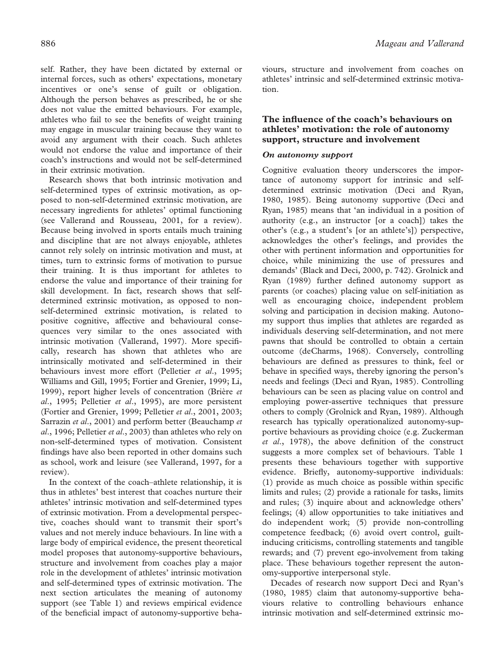self. Rather, they have been dictated by external or internal forces, such as others' expectations, monetary incentives or one's sense of guilt or obligation. Although the person behaves as prescribed, he or she does not value the emitted behaviours. For example, athletes who fail to see the benefits of weight training may engage in muscular training because they want to avoid any argument with their coach. Such athletes would not endorse the value and importance of their coach's instructions and would not be self-determined in their extrinsic motivation.

Research shows that both intrinsic motivation and self-determined types of extrinsic motivation, as opposed to non-self-determined extrinsic motivation, are necessary ingredients for athletes' optimal functioning (see Vallerand and Rousseau, 2001, for a review). Because being involved in sports entails much training and discipline that are not always enjoyable, athletes cannot rely solely on intrinsic motivation and must, at times, turn to extrinsic forms of motivation to pursue their training. It is thus important for athletes to endorse the value and importance of their training for skill development. In fact, research shows that selfdetermined extrinsic motivation, as opposed to nonself-determined extrinsic motivation, is related to positive cognitive, affective and behavioural consequences very similar to the ones associated with intrinsic motivation (Vallerand, 1997). More specifically, research has shown that athletes who are intrinsically motivated and self-determined in their behaviours invest more effort (Pelletier et al., 1995; Williams and Gill, 1995; Fortier and Grenier, 1999; Li, 1999), report higher levels of concentration (Brière et al., 1995; Pelletier et al., 1995), are more persistent (Fortier and Grenier, 1999; Pelletier et al., 2001, 2003; Sarrazin et al., 2001) and perform better (Beauchamp et al., 1996; Pelletier et al., 2003) than athletes who rely on non-self-determined types of motivation. Consistent findings have also been reported in other domains such as school, work and leisure (see Vallerand, 1997, for a review).

In the context of the coach–athlete relationship, it is thus in athletes' best interest that coaches nurture their athletes' intrinsic motivation and self-determined types of extrinsic motivation. From a developmental perspective, coaches should want to transmit their sport's values and not merely induce behaviours. In line with a large body of empirical evidence, the present theoretical model proposes that autonomy-supportive behaviours, structure and involvement from coaches play a major role in the development of athletes' intrinsic motivation and self-determined types of extrinsic motivation. The next section articulates the meaning of autonomy support (see Table 1) and reviews empirical evidence of the beneficial impact of autonomy-supportive behaviours, structure and involvement from coaches on athletes' intrinsic and self-determined extrinsic motivation.

# The influence of the coach's behaviours on athletes' motivation: the role of autonomy support, structure and involvement

#### On autonomy support

Cognitive evaluation theory underscores the importance of autonomy support for intrinsic and selfdetermined extrinsic motivation (Deci and Ryan, 1980, 1985). Being autonomy supportive (Deci and Ryan, 1985) means that 'an individual in a position of authority (e.g., an instructor [or a coach]) takes the other's (e.g., a student's [or an athlete's]) perspective, acknowledges the other's feelings, and provides the other with pertinent information and opportunities for choice, while minimizing the use of pressures and demands' (Black and Deci, 2000, p. 742). Grolnick and Ryan (1989) further defined autonomy support as parents (or coaches) placing value on self-initiation as well as encouraging choice, independent problem solving and participation in decision making. Autonomy support thus implies that athletes are regarded as individuals deserving self-determination, and not mere pawns that should be controlled to obtain a certain outcome (deCharms, 1968). Conversely, controlling behaviours are defined as pressures to think, feel or behave in specified ways, thereby ignoring the person's needs and feelings (Deci and Ryan, 1985). Controlling behaviours can be seen as placing value on control and employing power-assertive techniques that pressure others to comply (Grolnick and Ryan, 1989). Although research has typically operationalized autonomy-supportive behaviours as providing choice (e.g. Zuckerman et al., 1978), the above definition of the construct suggests a more complex set of behaviours. Table 1 presents these behaviours together with supportive evidence. Briefly, autonomy-supportive individuals: (1) provide as much choice as possible within specific limits and rules; (2) provide a rationale for tasks, limits and rules; (3) inquire about and acknowledge others' feelings; (4) allow opportunities to take initiatives and do independent work; (5) provide non-controlling competence feedback; (6) avoid overt control, guiltinducing criticisms, controlling statements and tangible rewards; and (7) prevent ego-involvement from taking place. These behaviours together represent the autonomy-supportive interpersonal style.

Decades of research now support Deci and Ryan's (1980, 1985) claim that autonomy-supportive behaviours relative to controlling behaviours enhance intrinsic motivation and self-determined extrinsic mo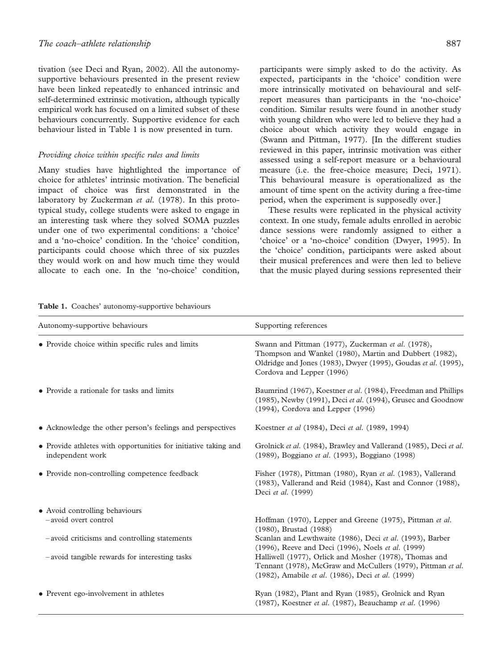tivation (see Deci and Ryan, 2002). All the autonomysupportive behaviours presented in the present review have been linked repeatedly to enhanced intrinsic and self-determined extrinsic motivation, although typically empirical work has focused on a limited subset of these behaviours concurrently. Supportive evidence for each behaviour listed in Table 1 is now presented in turn.

## Providing choice within specific rules and limits

Many studies have hightlighted the importance of choice for athletes' intrinsic motivation. The beneficial impact of choice was first demonstrated in the laboratory by Zuckerman et al. (1978). In this prototypical study, college students were asked to engage in an interesting task where they solved SOMA puzzles under one of two experimental conditions: a 'choice' and a 'no-choice' condition. In the 'choice' condition, participants could choose which three of six puzzles they would work on and how much time they would allocate to each one. In the 'no-choice' condition, participants were simply asked to do the activity. As expected, participants in the 'choice' condition were more intrinsically motivated on behavioural and selfreport measures than participants in the 'no-choice' condition. Similar results were found in another study with young children who were led to believe they had a choice about which activity they would engage in (Swann and Pittman, 1977). [In the different studies reviewed in this paper, intrinsic motivation was either assessed using a self-report measure or a behavioural measure (i.e. the free-choice measure; Deci, 1971). This behavioural measure is operationalized as the amount of time spent on the activity during a free-time period, when the experiment is supposedly over.]

These results were replicated in the physical activity context. In one study, female adults enrolled in aerobic dance sessions were randomly assigned to either a 'choice' or a 'no-choice' condition (Dwyer, 1995). In the 'choice' condition, participants were asked about their musical preferences and were then led to believe that the music played during sessions represented their

|  |  | Table 1. Coaches' autonomy-supportive behaviours |  |
|--|--|--------------------------------------------------|--|
|--|--|--------------------------------------------------|--|

| Autonomy-supportive behaviours                                                      | Supporting references                                                                                                                                                                                       |  |
|-------------------------------------------------------------------------------------|-------------------------------------------------------------------------------------------------------------------------------------------------------------------------------------------------------------|--|
| • Provide choice within specific rules and limits                                   | Swann and Pittman (1977), Zuckerman et al. (1978),<br>Thompson and Wankel (1980), Martin and Dubbert (1982),<br>Oldridge and Jones (1983), Dwyer (1995), Goudas et al. (1995),<br>Cordova and Lepper (1996) |  |
| • Provide a rationale for tasks and limits                                          | Baumrind (1967), Koestner et al. (1984), Freedman and Phillips<br>(1985), Newby (1991), Deci et al. (1994), Grusec and Goodnow<br>(1994), Cordova and Lepper (1996)                                         |  |
| • Acknowledge the other person's feelings and perspectives                          | Koestner et al (1984), Deci et al. (1989, 1994)                                                                                                                                                             |  |
| • Provide athletes with opportunities for initiative taking and<br>independent work | Grolnick et al. (1984), Brawley and Vallerand (1985), Deci et al.<br>(1989), Boggiano et al. (1993), Boggiano (1998)                                                                                        |  |
| • Provide non-controlling competence feedback                                       | Fisher (1978), Pittman (1980), Ryan et al. (1983), Vallerand<br>(1983), Vallerand and Reid (1984), Kast and Connor (1988),<br>Deci et al. (1999)                                                            |  |
| • Avoid controlling behaviours                                                      |                                                                                                                                                                                                             |  |
| -avoid overt control                                                                | Hoffman (1970), Lepper and Greene (1975), Pittman et al.<br>(1980), Brustad (1988)                                                                                                                          |  |
| -avoid criticisms and controlling statements                                        | Scanlan and Lewthwaite (1986), Deci et al. (1993), Barber<br>(1996), Reeve and Deci (1996), Noels et al. (1999)                                                                                             |  |
| -avoid tangible rewards for interesting tasks                                       | Halliwell (1977), Orlick and Mosher (1978), Thomas and<br>Tennant (1978), McGraw and McCullers (1979), Pittman et al.<br>(1982), Amabile et al. (1986), Deci et al. (1999)                                  |  |
| • Prevent ego-involvement in athletes                                               | Ryan (1982), Plant and Ryan (1985), Grolnick and Ryan<br>(1987), Koestner et al. (1987), Beauchamp et al. (1996)                                                                                            |  |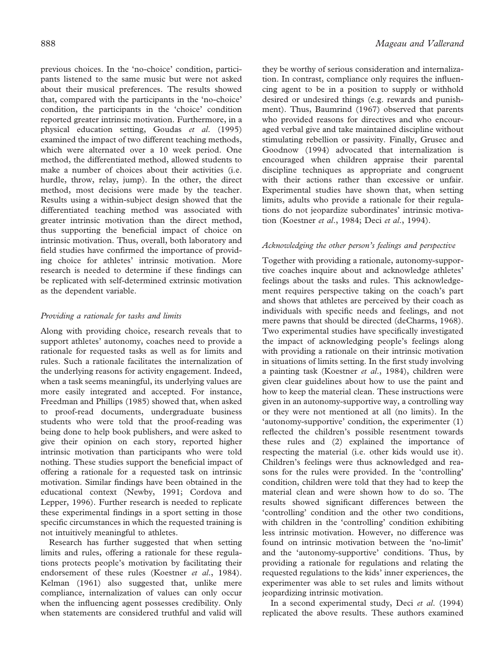previous choices. In the 'no-choice' condition, participants listened to the same music but were not asked about their musical preferences. The results showed that, compared with the participants in the 'no-choice' condition, the participants in the 'choice' condition reported greater intrinsic motivation. Furthermore, in a physical education setting, Goudas et al. (1995) examined the impact of two different teaching methods, which were alternated over a 10 week period. One method, the differentiated method, allowed students to make a number of choices about their activities (i.e. hurdle, throw, relay, jump). In the other, the direct method, most decisions were made by the teacher. Results using a within-subject design showed that the differentiated teaching method was associated with greater intrinsic motivation than the direct method, thus supporting the beneficial impact of choice on intrinsic motivation. Thus, overall, both laboratory and field studies have confirmed the importance of providing choice for athletes' intrinsic motivation. More research is needed to determine if these findings can be replicated with self-determined extrinsic motivation as the dependent variable.

#### Providing a rationale for tasks and limits

Along with providing choice, research reveals that to support athletes' autonomy, coaches need to provide a rationale for requested tasks as well as for limits and rules. Such a rationale facilitates the internalization of the underlying reasons for activity engagement. Indeed, when a task seems meaningful, its underlying values are more easily integrated and accepted. For instance, Freedman and Phillips (1985) showed that, when asked to proof-read documents, undergraduate business students who were told that the proof-reading was being done to help book publishers, and were asked to give their opinion on each story, reported higher intrinsic motivation than participants who were told nothing. These studies support the beneficial impact of offering a rationale for a requested task on intrinsic motivation. Similar findings have been obtained in the educational context (Newby, 1991; Cordova and Lepper, 1996). Further research is needed to replicate these experimental findings in a sport setting in those specific circumstances in which the requested training is not intuitively meaningful to athletes.

Research has further suggested that when setting limits and rules, offering a rationale for these regulations protects people's motivation by facilitating their endorsement of these rules (Koestner et al., 1984). Kelman (1961) also suggested that, unlike mere compliance, internalization of values can only occur when the influencing agent possesses credibility. Only when statements are considered truthful and valid will they be worthy of serious consideration and internalization. In contrast, compliance only requires the influencing agent to be in a position to supply or withhold desired or undesired things (e.g. rewards and punishment). Thus, Baumrind (1967) observed that parents who provided reasons for directives and who encouraged verbal give and take maintained discipline without stimulating rebellion or passivity. Finally, Grusec and Goodnow (1994) advocated that internalization is encouraged when children appraise their parental discipline techniques as appropriate and congruent with their actions rather than excessive or unfair. Experimental studies have shown that, when setting limits, adults who provide a rationale for their regulations do not jeopardize subordinates' intrinsic motivation (Koestner et al., 1984; Deci et al., 1994).

## Acknowledging the other person's feelings and perspective

Together with providing a rationale, autonomy-supportive coaches inquire about and acknowledge athletes' feelings about the tasks and rules. This acknowledgement requires perspective taking on the coach's part and shows that athletes are perceived by their coach as individuals with specific needs and feelings, and not mere pawns that should be directed (deCharms, 1968). Two experimental studies have specifically investigated the impact of acknowledging people's feelings along with providing a rationale on their intrinsic motivation in situations of limits setting. In the first study involving a painting task (Koestner et al., 1984), children were given clear guidelines about how to use the paint and how to keep the material clean. These instructions were given in an autonomy-supportive way, a controlling way or they were not mentioned at all (no limits). In the 'autonomy-supportive' condition, the experimenter (1) reflected the children's possible resentment towards these rules and (2) explained the importance of respecting the material (i.e. other kids would use it). Children's feelings were thus acknowledged and reasons for the rules were provided. In the 'controlling' condition, children were told that they had to keep the material clean and were shown how to do so. The results showed significant differences between the 'controlling' condition and the other two conditions, with children in the 'controlling' condition exhibiting less intrinsic motivation. However, no difference was found on intrinsic motivation between the 'no-limit' and the 'autonomy-supportive' conditions. Thus, by providing a rationale for regulations and relating the requested regulations to the kids' inner experiences, the experimenter was able to set rules and limits without jeopardizing intrinsic motivation.

In a second experimental study, Deci et al. (1994) replicated the above results. These authors examined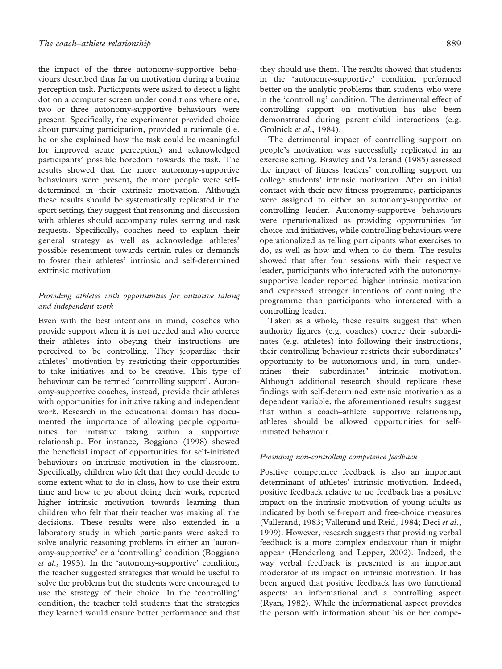the impact of the three autonomy-supportive behaviours described thus far on motivation during a boring perception task. Participants were asked to detect a light dot on a computer screen under conditions where one, two or three autonomy-supportive behaviours were present. Specifically, the experimenter provided choice about pursuing participation, provided a rationale (i.e. he or she explained how the task could be meaningful for improved acute perception) and acknowledged participants' possible boredom towards the task. The results showed that the more autonomy-supportive behaviours were present, the more people were selfdetermined in their extrinsic motivation. Although these results should be systematically replicated in the sport setting, they suggest that reasoning and discussion with athletes should accompany rules setting and task requests. Specifically, coaches need to explain their general strategy as well as acknowledge athletes' possible resentment towards certain rules or demands to foster their athletes' intrinsic and self-determined extrinsic motivation.

## Providing athletes with opportunities for initiative taking and independent work

Even with the best intentions in mind, coaches who provide support when it is not needed and who coerce their athletes into obeying their instructions are perceived to be controlling. They jeopardize their athletes' motivation by restricting their opportunities to take initiatives and to be creative. This type of behaviour can be termed 'controlling support'. Autonomy-supportive coaches, instead, provide their athletes with opportunities for initiative taking and independent work. Research in the educational domain has documented the importance of allowing people opportunities for initiative taking within a supportive relationship. For instance, Boggiano (1998) showed the beneficial impact of opportunities for self-initiated behaviours on intrinsic motivation in the classroom. Specifically, children who felt that they could decide to some extent what to do in class, how to use their extra time and how to go about doing their work, reported higher intrinsic motivation towards learning than children who felt that their teacher was making all the decisions. These results were also extended in a laboratory study in which participants were asked to solve analytic reasoning problems in either an 'autonomy-supportive' or a 'controlling' condition (Boggiano et al., 1993). In the 'autonomy-supportive' condition, the teacher suggested strategies that would be useful to solve the problems but the students were encouraged to use the strategy of their choice. In the 'controlling' condition, the teacher told students that the strategies they learned would ensure better performance and that

they should use them. The results showed that students in the 'autonomy-supportive' condition performed better on the analytic problems than students who were in the 'controlling' condition. The detrimental effect of controlling support on motivation has also been demonstrated during parent–child interactions (e.g. Grolnick et al., 1984).

The detrimental impact of controlling support on people's motivation was successfully replicated in an exercise setting. Brawley and Vallerand (1985) assessed the impact of fitness leaders' controlling support on college students' intrinsic motivation. After an initial contact with their new fitness programme, participants were assigned to either an autonomy-supportive or controlling leader. Autonomy-supportive behaviours were operationalized as providing opportunities for choice and initiatives, while controlling behaviours were operationalized as telling participants what exercises to do, as well as how and when to do them. The results showed that after four sessions with their respective leader, participants who interacted with the autonomysupportive leader reported higher intrinsic motivation and expressed stronger intentions of continuing the programme than participants who interacted with a controlling leader.

Taken as a whole, these results suggest that when authority figures (e.g. coaches) coerce their subordinates (e.g. athletes) into following their instructions, their controlling behaviour restricts their subordinates' opportunity to be autonomous and, in turn, undermines their subordinates' intrinsic motivation. Although additional research should replicate these findings with self-determined extrinsic motivation as a dependent variable, the aforementioned results suggest that within a coach–athlete supportive relationship, athletes should be allowed opportunities for selfinitiated behaviour.

#### Providing non-controlling competence feedback

Positive competence feedback is also an important determinant of athletes' intrinsic motivation. Indeed, positive feedback relative to no feedback has a positive impact on the intrinsic motivation of young adults as indicated by both self-report and free-choice measures (Vallerand, 1983; Vallerand and Reid, 1984; Deci et al., 1999). However, research suggests that providing verbal feedback is a more complex endeavour than it might appear (Henderlong and Lepper, 2002). Indeed, the way verbal feedback is presented is an important moderator of its impact on intrinsic motivation. It has been argued that positive feedback has two functional aspects: an informational and a controlling aspect (Ryan, 1982). While the informational aspect provides the person with information about his or her compe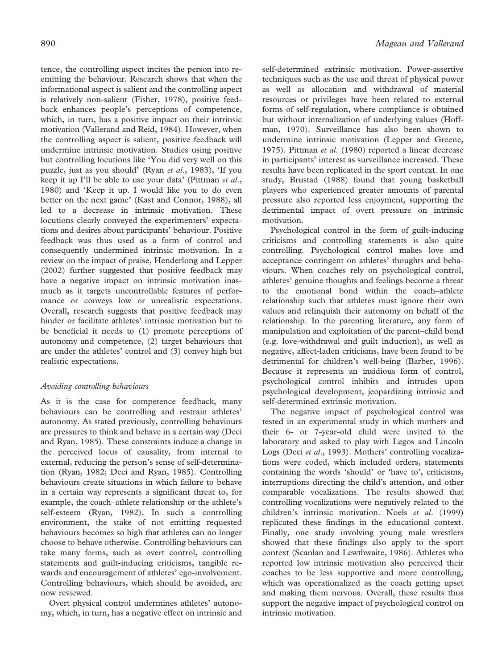tence, the controlling aspect incites the person into reemitting the behaviour. Research shows that when the informational aspect is salient and the controlling aspect is relatively non-salient (Fisher, 1978), positive feedback enhances people's perceptions of competence, which, in turn, has a positive impact on their intrinsic motivation (Vallerand and Reid, 1984). However, when the controlling aspect is salient, positive feedback will undermine intrinsic motivation. Studies using positive but controlling locutions like 'You did very well on this puzzle, just as you should' (Ryan et al., 1983), 'If you keep it up I'll be able to use your data' (Pittman et al., 1980) and 'Keep it up. I would like you to do even better on the next game' (Kast and Connor, 1988), all led to a decrease in intrinsic motivation. These locutions clearly conveyed the experimenters' expectations and desires about participants' behaviour. Positive feedback was thus used as a form of control and consequently undermined intrinsic motivation. In a review on the impact of praise, Henderlong and Lepper (2002) further suggested that positive feedback may have a negative impact on intrinsic motivation inasmuch as it targets uncontrollable features of performance or conveys low or unrealistic expectations. Overall, research suggests that positive feedback may hinder or facilitate athletes' intrinsic motivation but to be beneficial it needs to (1) promote perceptions of autonomy and competence, (2) target behaviours that are under the athletes' control and (3) convey high but realistic expectations.

#### Avoiding controlling behaviours

As it is the case for competence feedback, many behaviours can be controlling and restrain athletes' autonomy. As stated previously, controlling behaviours are pressures to think and behave in a certain way (Deci and Ryan, 1985). These constraints induce a change in the perceived locus of causality, from internal to external, reducing the person's sense of self-determination (Ryan, 1982; Deci and Ryan, 1985). Controlling behaviours create situations in which failure to behave in a certain way represents a significant threat to, for example, the coach–athlete relationship or the athlete's self-esteem (Ryan, 1982). In such a controlling environment, the stake of not emitting requested behaviours becomes so high that athletes can no longer choose to behave otherwise. Controlling behaviours can take many forms, such as overt control, controlling statements and guilt-inducing criticisms, tangible rewards and encouragement of athletes' ego-involvement. Controlling behaviours, which should be avoided, are now reviewed.

Overt physical control undermines athletes' autonomy, which, in turn, has a negative effect on intrinsic and self-determined extrinsic motivation. Power-assertive techniques such as the use and threat of physical power as well as allocation and withdrawal of material resources or privileges have been related to external forms of self-regulation, where compliance is obtained but without internalization of underlying values (Hoffman, 1970). Surveillance has also been shown to undermine intrinsic motivation (Lepper and Greene, 1975). Pittman et al. (1980) reported a linear decrease in participants' interest as surveillance increased. These results have been replicated in the sport context. In one study, Brustad (1988) found that young basketball players who experienced greater amounts of parental pressure also reported less enjoyment, supporting the detrimental impact of overt pressure on intrinsic motivation.

Psychological control in the form of guilt-inducing criticisms and controlling statements is also quite controlling. Psychological control makes love and acceptance contingent on athletes' thoughts and behaviours. When coaches rely on psychological control, athletes' genuine thoughts and feelings become a threat to the emotional bond within the coach–athlete relationship such that athletes must ignore their own values and relinquish their autonomy on behalf of the relationship. In the parenting literature, any form of manipulation and exploitation of the parent–child bond (e.g. love-withdrawal and guilt induction), as well as negative, affect-laden criticisms, have been found to be detrimental for children's well-being (Barber, 1996). Because it represents an insidious form of control, psychological control inhibits and intrudes upon psychological development, jeopardizing intrinsic and self-determined extrinsic motivation.

The negative impact of psychological control was tested in an experimental study in which mothers and their 6- or 7-year-old child were invited to the laboratory and asked to play with Legos and Lincoln Logs (Deci *et al.*, 1993). Mothers' controlling vocalizations were coded, which included orders, statements containing the words 'should' or 'have to', criticisms, interruptions directing the child's attention, and other comparable vocalizations. The results showed that controlling vocalizations were negatively related to the children's intrinsic motivation. Noels et al. (1999) replicated these findings in the educational context. Finally, one study involving young male wrestlers showed that these findings also apply to the sport context (Scanlan and Lewthwaite, 1986). Athletes who reported low intrinsic motivation also perceived their coaches to be less supportive and more controlling, which was operationalized as the coach getting upset and making them nervous. Overall, these results thus support the negative impact of psychological control on intrinsic motivation.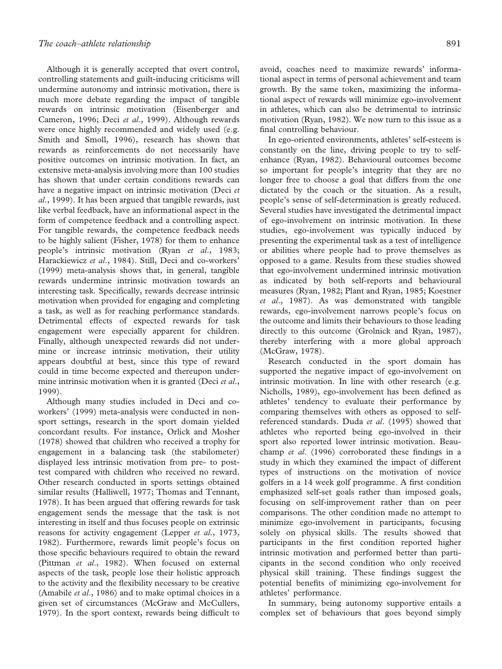Although it is generally accepted that overt control, controlling statements and guilt-inducing criticisms will undermine autonomy and intrinsic motivation, there is much more debate regarding the impact of tangible rewards on intrinsic motivation (Eisenberger and Cameron, 1996; Deci et al., 1999). Although rewards were once highly recommended and widely used (e.g. Smith and Smoll, 1996), research has shown that rewards as reinforcements do not necessarily have positive outcomes on intrinsic motivation. In fact, an extensive meta-analysis involving more than 100 studies has shown that under certain conditions rewards can have a negative impact on intrinsic motivation (Deci et al., 1999). It has been argued that tangible rewards, just like verbal feedback, have an informational aspect in the form of competence feedback and a controlling aspect. For tangible rewards, the competence feedback needs to be highly salient (Fisher, 1978) for them to enhance people's intrinsic motivation (Ryan et al., 1983; Harackiewicz et al., 1984). Still, Deci and co-workers' (1999) meta-analysis shows that, in general, tangible rewards undermine intrinsic motivation towards an interesting task. Specifically, rewards decrease intrinsic motivation when provided for engaging and completing a task, as well as for reaching performance standards. Detrimental effects of expected rewards for task engagement were especially apparent for children. Finally, although unexpected rewards did not undermine or increase intrinsic motivation, their utility appears doubtful at best, since this type of reward could in time become expected and thereupon undermine intrinsic motivation when it is granted (Deci et al., 1999).

Although many studies included in Deci and coworkers' (1999) meta-analysis were conducted in nonsport settings, research in the sport domain yielded concordant results. For instance, Orlick and Mosher (1978) showed that children who received a trophy for engagement in a balancing task (the stabilometer) displayed less intrinsic motivation from pre- to posttest compared with children who received no reward. Other research conducted in sports settings obtained similar results (Halliwell, 1977; Thomas and Tennant, 1978). It has been argued that offering rewards for task engagement sends the message that the task is not interesting in itself and thus focuses people on extrinsic reasons for activity engagement (Lepper et al., 1973, 1982). Furthermore, rewards limit people's focus on those specific behaviours required to obtain the reward (Pittman et al., 1982). When focused on external aspects of the task, people lose their holistic approach to the activity and the flexibility necessary to be creative (Amabile et al., 1986) and to make optimal choices in a given set of circumstances (McGraw and McCullers, 1979). In the sport context, rewards being difficult to avoid, coaches need to maximize rewards' informational aspect in terms of personal achievement and team growth. By the same token, maximizing the informational aspect of rewards will minimize ego-involvement in athletes, which can also be detrimental to intrinsic motivation (Ryan, 1982). We now turn to this issue as a final controlling behaviour.

In ego-oriented environments, athletes' self-esteem is constantly on the line, driving people to try to selfenhance (Ryan, 1982). Behavioural outcomes become so important for people's integrity that they are no longer free to choose a goal that differs from the one dictated by the coach or the situation. As a result, people's sense of self-determination is greatly reduced. Several studies have investigated the detrimental impact of ego-involvement on intrinsic motivation. In these studies, ego-involvement was typically induced by presenting the experimental task as a test of intelligence or abilities where people had to prove themselves as opposed to a game. Results from these studies showed that ego-involvement undermined intrinsic motivation as indicated by both self-reports and behavioural measures (Ryan, 1982; Plant and Ryan, 1985; Koestner et al., 1987). As was demonstrated with tangible rewards, ego-involvement narrows people's focus on the outcome and limits their behaviours to those leading directly to this outcome (Grolnick and Ryan, 1987), thereby interfering with a more global approach (McGraw, 1978).

Research conducted in the sport domain has supported the negative impact of ego-involvement on intrinsic motivation. In line with other research (e.g. Nicholls, 1989), ego-involvement has been defined as athletes' tendency to evaluate their performance by comparing themselves with others as opposed to selfreferenced standards. Duda et al. (1995) showed that athletes who reported being ego-involved in their sport also reported lower intrinsic motivation. Beauchamp et al. (1996) corroborated these findings in a study in which they examined the impact of different types of instructions on the motivation of novice golfers in a 14 week golf programme. A first condition emphasized self-set goals rather than imposed goals, focusing on self-improvement rather than on peer comparisons. The other condition made no attempt to minimize ego-involvement in participants, focusing solely on physical skills. The results showed that participants in the first condition reported higher intrinsic motivation and performed better than participants in the second condition who only received physical skill training. These findings suggest the potential benefits of minimizing ego-involvement for athletes' performance.

In summary, being autonomy supportive entails a complex set of behaviours that goes beyond simply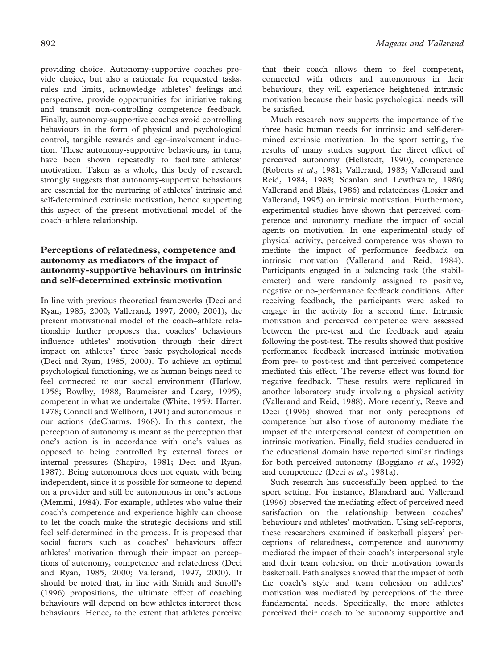providing choice. Autonomy-supportive coaches provide choice, but also a rationale for requested tasks, rules and limits, acknowledge athletes' feelings and perspective, provide opportunities for initiative taking and transmit non-controlling competence feedback. Finally, autonomy-supportive coaches avoid controlling behaviours in the form of physical and psychological control, tangible rewards and ego-involvement induction. These autonomy-supportive behaviours, in turn, have been shown repeatedly to facilitate athletes' motivation. Taken as a whole, this body of research strongly suggests that autonomy-supportive behaviours are essential for the nurturing of athletes' intrinsic and self-determined extrinsic motivation, hence supporting this aspect of the present motivational model of the coach–athlete relationship.

# Perceptions of relatedness, competence and autonomy as mediators of the impact of autonomy-supportive behaviours on intrinsic and self-determined extrinsic motivation

In line with previous theoretical frameworks (Deci and Ryan, 1985, 2000; Vallerand, 1997, 2000, 2001), the present motivational model of the coach–athlete relationship further proposes that coaches' behaviours influence athletes' motivation through their direct impact on athletes' three basic psychological needs (Deci and Ryan, 1985, 2000). To achieve an optimal psychological functioning, we as human beings need to feel connected to our social environment (Harlow, 1958; Bowlby, 1988; Baumeister and Leary, 1995), competent in what we undertake (White, 1959; Harter, 1978; Connell and Wellborn, 1991) and autonomous in our actions (deCharms, 1968). In this context, the perception of autonomy is meant as the perception that one's action is in accordance with one's values as opposed to being controlled by external forces or internal pressures (Shapiro, 1981; Deci and Ryan, 1987). Being autonomous does not equate with being independent, since it is possible for someone to depend on a provider and still be autonomous in one's actions (Memmi, 1984). For example, athletes who value their coach's competence and experience highly can choose to let the coach make the strategic decisions and still feel self-determined in the process. It is proposed that social factors such as coaches' behaviours affect athletes' motivation through their impact on perceptions of autonomy, competence and relatedness (Deci and Ryan, 1985, 2000; Vallerand, 1997, 2000). It should be noted that, in line with Smith and Smoll's (1996) propositions, the ultimate effect of coaching behaviours will depend on how athletes interpret these behaviours. Hence, to the extent that athletes perceive

that their coach allows them to feel competent, connected with others and autonomous in their behaviours, they will experience heightened intrinsic motivation because their basic psychological needs will be satisfied.

Much research now supports the importance of the three basic human needs for intrinsic and self-determined extrinsic motivation. In the sport setting, the results of many studies support the direct effect of perceived autonomy (Hellstedt, 1990), competence (Roberts et al., 1981; Vallerand, 1983; Vallerand and Reid, 1984, 1988; Scanlan and Lewthwaite, 1986; Vallerand and Blais, 1986) and relatedness (Losier and Vallerand, 1995) on intrinsic motivation. Furthermore, experimental studies have shown that perceived competence and autonomy mediate the impact of social agents on motivation. In one experimental study of physical activity, perceived competence was shown to mediate the impact of performance feedback on intrinsic motivation (Vallerand and Reid, 1984). Participants engaged in a balancing task (the stabilometer) and were randomly assigned to positive, negative or no-performance feedback conditions. After receiving feedback, the participants were asked to engage in the activity for a second time. Intrinsic motivation and perceived competence were assessed between the pre-test and the feedback and again following the post-test. The results showed that positive performance feedback increased intrinsic motivation from pre- to post-test and that perceived competence mediated this effect. The reverse effect was found for negative feedback. These results were replicated in another laboratory study involving a physical activity (Vallerand and Reid, 1988). More recently, Reeve and Deci (1996) showed that not only perceptions of competence but also those of autonomy mediate the impact of the interpersonal context of competition on intrinsic motivation. Finally, field studies conducted in the educational domain have reported similar findings for both perceived autonomy (Boggiano et al., 1992) and competence (Deci et al., 1981a).

Such research has successfully been applied to the sport setting. For instance, Blanchard and Vallerand (1996) observed the mediating effect of perceived need satisfaction on the relationship between coaches' behaviours and athletes' motivation. Using self-reports, these researchers examined if basketball players' perceptions of relatedness, competence and autonomy mediated the impact of their coach's interpersonal style and their team cohesion on their motivation towards basketball. Path analyses showed that the impact of both the coach's style and team cohesion on athletes' motivation was mediated by perceptions of the three fundamental needs. Specifically, the more athletes perceived their coach to be autonomy supportive and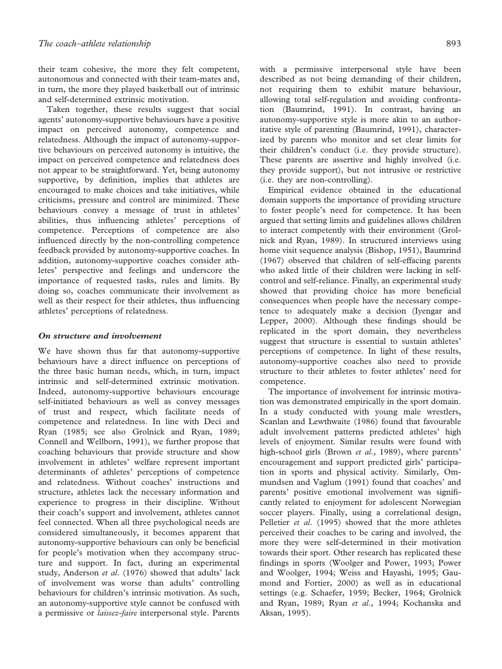their team cohesive, the more they felt competent, autonomous and connected with their team-mates and, in turn, the more they played basketball out of intrinsic and self-determined extrinsic motivation.

Taken together, these results suggest that social agents' autonomy-supportive behaviours have a positive impact on perceived autonomy, competence and relatedness. Although the impact of autonomy-supportive behaviours on perceived autonomy is intuitive, the impact on perceived competence and relatedness does not appear to be straightforward. Yet, being autonomy supportive, by definition, implies that athletes are encouraged to make choices and take initiatives, while criticisms, pressure and control are minimized. These behaviours convey a message of trust in athletes' abilities, thus influencing athletes' perceptions of competence. Perceptions of competence are also influenced directly by the non-controlling competence feedback provided by autonomy-supportive coaches. In addition, autonomy-supportive coaches consider athletes' perspective and feelings and underscore the importance of requested tasks, rules and limits. By doing so, coaches communicate their involvement as well as their respect for their athletes, thus influencing athletes' perceptions of relatedness.

#### On structure and involvement

We have shown thus far that autonomy-supportive behaviours have a direct influence on perceptions of the three basic human needs, which, in turn, impact intrinsic and self-determined extrinsic motivation. Indeed, autonomy-supportive behaviours encourage self-initiated behaviours as well as convey messages of trust and respect, which facilitate needs of competence and relatedness. In line with Deci and Ryan (1985; see also Grolnick and Ryan, 1989; Connell and Wellborn, 1991), we further propose that coaching behaviours that provide structure and show involvement in athletes' welfare represent important determinants of athletes' perceptions of competence and relatedness. Without coaches' instructions and structure, athletes lack the necessary information and experience to progress in their discipline. Without their coach's support and involvement, athletes cannot feel connected. When all three psychological needs are considered simultaneously, it becomes apparent that autonomy-supportive behaviours can only be beneficial for people's motivation when they accompany structure and support. In fact, during an experimental study, Anderson et al. (1976) showed that adults' lack of involvement was worse than adults' controlling behaviours for children's intrinsic motivation. As such, an autonomy-supportive style cannot be confused with a permissive or laissez-faire interpersonal style. Parents

with a permissive interpersonal style have been described as not being demanding of their children, not requiring them to exhibit mature behaviour, allowing total self-regulation and avoiding confrontation (Baumrind, 1991). In contrast, having an autonomy-supportive style is more akin to an authoritative style of parenting (Baumrind, 1991), characterized by parents who monitor and set clear limits for their children's conduct (i.e. they provide structure). These parents are assertive and highly involved (i.e. they provide support), but not intrusive or restrictive (i.e. they are non-controlling).

Empirical evidence obtained in the educational domain supports the importance of providing structure to foster people's need for competence. It has been argued that setting limits and guidelines allows children to interact competently with their environment (Grolnick and Ryan, 1989). In structured interviews using home visit sequence analysis (Bishop, 1951), Baumrind (1967) observed that children of self-effacing parents who asked little of their children were lacking in selfcontrol and self-reliance. Finally, an experimental study showed that providing choice has more beneficial consequences when people have the necessary competence to adequately make a decision (Iyengar and Lepper, 2000). Although these findings should be replicated in the sport domain, they nevertheless suggest that structure is essential to sustain athletes' perceptions of competence. In light of these results, autonomy-supportive coaches also need to provide structure to their athletes to foster athletes' need for competence.

The importance of involvement for intrinsic motivation was demonstrated empirically in the sport domain. In a study conducted with young male wrestlers, Scanlan and Lewthwaite (1986) found that favourable adult involvement patterns predicted athletes' high levels of enjoyment. Similar results were found with high-school girls (Brown et al., 1989), where parents' encouragement and support predicted girls' participation in sports and physical activity. Similarly, Ommundsen and Vaglum (1991) found that coaches' and parents' positive emotional involvement was significantly related to enjoyment for adolescent Norwegian soccer players. Finally, using a correlational design, Pelletier et al. (1995) showed that the more athletes perceived their coaches to be caring and involved, the more they were self-determined in their motivation towards their sport. Other research has replicated these findings in sports (Woolger and Power, 1993; Power and Woolger, 1994; Weiss and Hayashi, 1995; Gaumond and Fortier, 2000) as well as in educational settings (e.g. Schaefer, 1959; Becker, 1964; Grolnick and Ryan, 1989; Ryan et al., 1994; Kochanska and Aksan, 1995).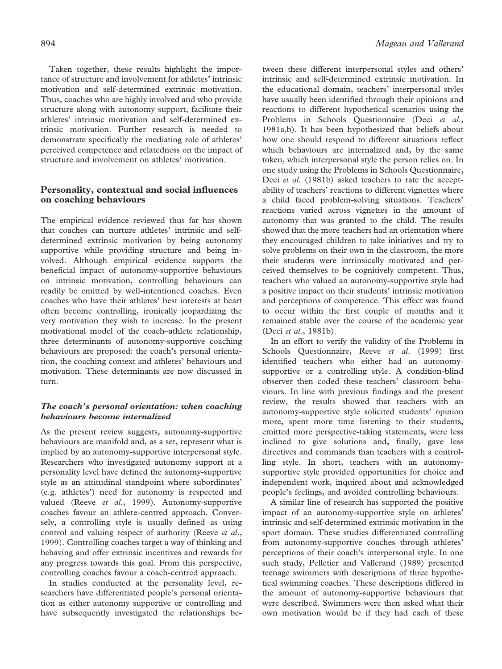Taken together, these results highlight the importance of structure and involvement for athletes' intrinsic motivation and self-determined extrinsic motivation. Thus, coaches who are highly involved and who provide structure along with autonomy support, facilitate their athletes' intrinsic motivation and self-determined extrinsic motivation. Further research is needed to demonstrate specifically the mediating role of athletes' perceived competence and relatedness on the impact of structure and involvement on athletes' motivation.

# Personality, contextual and social influences on coaching behaviours

The empirical evidence reviewed thus far has shown that coaches can nurture athletes' intrinsic and selfdetermined extrinsic motivation by being autonomy supportive while providing structure and being involved. Although empirical evidence supports the beneficial impact of autonomy-supportive behaviours on intrinsic motivation, controlling behaviours can readily be emitted by well-intentioned coaches. Even coaches who have their athletes' best interests at heart often become controlling, ironically jeopardizing the very motivation they wish to increase. In the present motivational model of the coach–athlete relationship, three determinants of autonomy-supportive coaching behaviours are proposed: the coach's personal orientation, the coaching context and athletes' behaviours and motivation. These determinants are now discussed in turn.

## The coach's personal orientation: when coaching behaviours become internalized

As the present review suggests, autonomy-supportive behaviours are manifold and, as a set, represent what is implied by an autonomy-supportive interpersonal style. Researchers who investigated autonomy support at a personality level have defined the autonomy-supportive style as an attitudinal standpoint where subordinates' (e.g. athletes') need for autonomy is respected and valued (Reeve et al., 1999). Autonomy-supportive coaches favour an athlete-centred approach. Conversely, a controlling style is usually defined as using control and valuing respect of authority (Reeve et al., 1999). Controlling coaches target a way of thinking and behaving and offer extrinsic incentives and rewards for any progress towards this goal. From this perspective, controlling coaches favour a coach-centred approach.

In studies conducted at the personality level, researchers have differentiated people's personal orientation as either autonomy supportive or controlling and have subsequently investigated the relationships between these different interpersonal styles and others' intrinsic and self-determined extrinsic motivation. In the educational domain, teachers' interpersonal styles have usually been identified through their opinions and reactions to different hypothetical scenarios using the Problems in Schools Questionnaire (Deci et al., 1981a,b). It has been hypothesized that beliefs about how one should respond to different situations reflect which behaviours are internalized and, by the same token, which interpersonal style the person relies on. In one study using the Problems in Schools Questionnaire, Deci et al. (1981b) asked teachers to rate the acceptability of teachers' reactions to different vignettes where a child faced problem-solving situations. Teachers' reactions varied across vignettes in the amount of autonomy that was granted to the child. The results showed that the more teachers had an orientation where they encouraged children to take initiatives and try to solve problems on their own in the classroom, the more their students were intrinsically motivated and perceived themselves to be cognitively competent. Thus, teachers who valued an autonomy-supportive style had a positive impact on their students' intrinsic motivation and perceptions of competence. This effect was found to occur within the first couple of months and it remained stable over the course of the academic year (Deci et al., 1981b).

In an effort to verify the validity of the Problems in Schools Questionnaire, Reeve et al. (1999) first identified teachers who either had an autonomysupportive or a controlling style. A condition-blind observer then coded these teachers' classroom behaviours. In line with previous findings and the present review, the results showed that teachers with an autonomy-supportive style solicited students' opinion more, spent more time listening to their students, emitted more perspective-taking statements, were less inclined to give solutions and, finally, gave less directives and commands than teachers with a controlling style. In short, teachers with an autonomysupportive style provided opportunities for choice and independent work, inquired about and acknowledged people's feelings, and avoided controlling behaviours.

A similar line of research has supported the positive impact of an autonomy-supportive style on athletes' intrinsic and self-determined extrinsic motivation in the sport domain. These studies differentiated controlling from autonomy-supportive coaches through athletes' perceptions of their coach's interpersonal style. In one such study, Pelletier and Vallerand (1989) presented teenage swimmers with descriptions of three hypothetical swimming coaches. These descriptions differed in the amount of autonomy-supportive behaviours that were described. Swimmers were then asked what their own motivation would be if they had each of these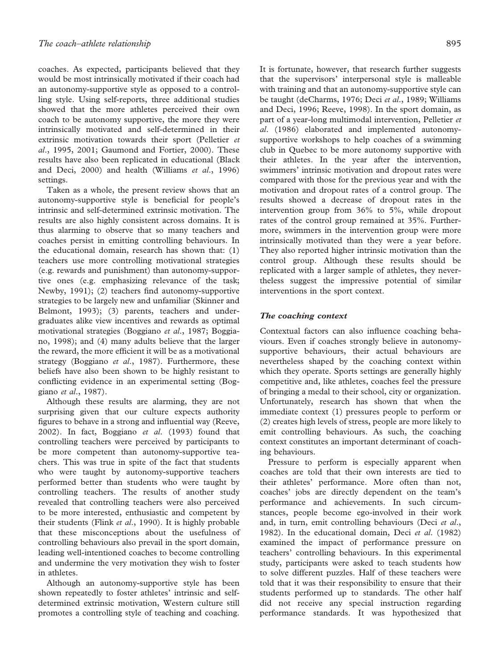coaches. As expected, participants believed that they would be most intrinsically motivated if their coach had an autonomy-supportive style as opposed to a controlling style. Using self-reports, three additional studies showed that the more athletes perceived their own coach to be autonomy supportive, the more they were intrinsically motivated and self-determined in their extrinsic motivation towards their sport (Pelletier et al., 1995, 2001; Gaumond and Fortier, 2000). These results have also been replicated in educational (Black and Deci, 2000) and health (Williams et al., 1996) settings.

Taken as a whole, the present review shows that an autonomy-supportive style is beneficial for people's intrinsic and self-determined extrinsic motivation. The results are also highly consistent across domains. It is thus alarming to observe that so many teachers and coaches persist in emitting controlling behaviours. In the educational domain, research has shown that: (1) teachers use more controlling motivational strategies (e.g. rewards and punishment) than autonomy-supportive ones (e.g. emphasizing relevance of the task; Newby, 1991); (2) teachers find autonomy-supportive strategies to be largely new and unfamiliar (Skinner and Belmont, 1993); (3) parents, teachers and undergraduates alike view incentives and rewards as optimal motivational strategies (Boggiano et al., 1987; Boggiano, 1998); and (4) many adults believe that the larger the reward, the more efficient it will be as a motivational strategy (Boggiano et al., 1987). Furthermore, these beliefs have also been shown to be highly resistant to conflicting evidence in an experimental setting (Boggiano et al., 1987).

Although these results are alarming, they are not surprising given that our culture expects authority figures to behave in a strong and influential way (Reeve, 2002). In fact, Boggiano et al. (1993) found that controlling teachers were perceived by participants to be more competent than autonomy-supportive teachers. This was true in spite of the fact that students who were taught by autonomy-supportive teachers performed better than students who were taught by controlling teachers. The results of another study revealed that controlling teachers were also perceived to be more interested, enthusiastic and competent by their students (Flink et al., 1990). It is highly probable that these misconceptions about the usefulness of controlling behaviours also prevail in the sport domain, leading well-intentioned coaches to become controlling and undermine the very motivation they wish to foster in athletes.

Although an autonomy-supportive style has been shown repeatedly to foster athletes' intrinsic and selfdetermined extrinsic motivation, Western culture still promotes a controlling style of teaching and coaching.

It is fortunate, however, that research further suggests that the supervisors' interpersonal style is malleable with training and that an autonomy-supportive style can be taught (deCharms, 1976; Deci et al., 1989; Williams and Deci, 1996; Reeve, 1998). In the sport domain, as part of a year-long multimodal intervention, Pelletier et al. (1986) elaborated and implemented autonomysupportive workshops to help coaches of a swimming club in Quebec to be more autonomy supportive with their athletes. In the year after the intervention, swimmers' intrinsic motivation and dropout rates were compared with those for the previous year and with the motivation and dropout rates of a control group. The results showed a decrease of dropout rates in the intervention group from 36% to 5%, while dropout rates of the control group remained at 35%. Furthermore, swimmers in the intervention group were more intrinsically motivated than they were a year before. They also reported higher intrinsic motivation than the control group. Although these results should be replicated with a larger sample of athletes, they nevertheless suggest the impressive potential of similar interventions in the sport context.

## The coaching context

Contextual factors can also influence coaching behaviours. Even if coaches strongly believe in autonomysupportive behaviours, their actual behaviours are nevertheless shaped by the coaching context within which they operate. Sports settings are generally highly competitive and, like athletes, coaches feel the pressure of bringing a medal to their school, city or organization. Unfortunately, research has shown that when the immediate context (1) pressures people to perform or (2) creates high levels of stress, people are more likely to emit controlling behaviours. As such, the coaching context constitutes an important determinant of coaching behaviours.

Pressure to perform is especially apparent when coaches are told that their own interests are tied to their athletes' performance. More often than not, coaches' jobs are directly dependent on the team's performance and achievements. In such circumstances, people become ego-involved in their work and, in turn, emit controlling behaviours (Deci et al., 1982). In the educational domain, Deci et al. (1982) examined the impact of performance pressure on teachers' controlling behaviours. In this experimental study, participants were asked to teach students how to solve different puzzles. Half of these teachers were told that it was their responsibility to ensure that their students performed up to standards. The other half did not receive any special instruction regarding performance standards. It was hypothesized that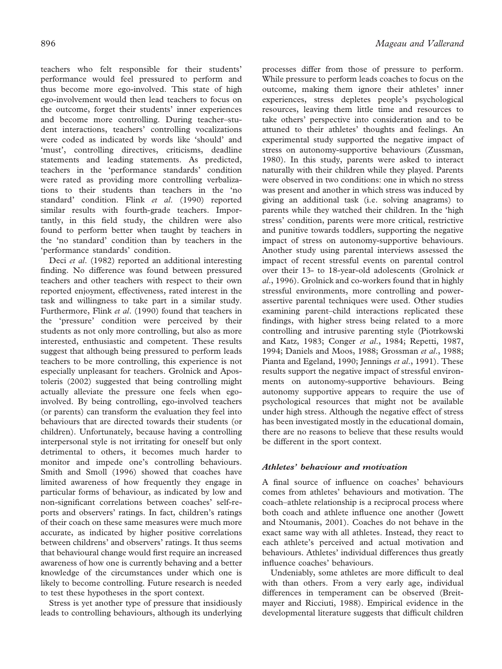teachers who felt responsible for their students' performance would feel pressured to perform and thus become more ego-involved. This state of high ego-involvement would then lead teachers to focus on the outcome, forget their students' inner experiences and become more controlling. During teacher–student interactions, teachers' controlling vocalizations were coded as indicated by words like 'should' and 'must', controlling directives, criticisms, deadline statements and leading statements. As predicted, teachers in the 'performance standards' condition were rated as providing more controlling verbalizations to their students than teachers in the 'no standard' condition. Flink et al. (1990) reported similar results with fourth-grade teachers. Importantly, in this field study, the children were also found to perform better when taught by teachers in the 'no standard' condition than by teachers in the 'performance standards' condition.

Deci et al. (1982) reported an additional interesting finding. No difference was found between pressured teachers and other teachers with respect to their own reported enjoyment, effectiveness, rated interest in the task and willingness to take part in a similar study. Furthermore, Flink et al. (1990) found that teachers in the 'pressure' condition were perceived by their students as not only more controlling, but also as more interested, enthusiastic and competent. These results suggest that although being pressured to perform leads teachers to be more controlling, this experience is not especially unpleasant for teachers. Grolnick and Apostoleris (2002) suggested that being controlling might actually alleviate the pressure one feels when egoinvolved. By being controlling, ego-involved teachers (or parents) can transform the evaluation they feel into behaviours that are directed towards their students (or children). Unfortunately, because having a controlling interpersonal style is not irritating for oneself but only detrimental to others, it becomes much harder to monitor and impede one's controlling behaviours. Smith and Smoll (1996) showed that coaches have limited awareness of how frequently they engage in particular forms of behaviour, as indicated by low and non-significant correlations between coaches' self-reports and observers' ratings. In fact, children's ratings of their coach on these same measures were much more accurate, as indicated by higher positive correlations between childrens' and observers' ratings. It thus seems that behavioural change would first require an increased awareness of how one is currently behaving and a better knowledge of the circumstances under which one is likely to become controlling. Future research is needed to test these hypotheses in the sport context.

Stress is yet another type of pressure that insidiously leads to controlling behaviours, although its underlying

processes differ from those of pressure to perform. While pressure to perform leads coaches to focus on the outcome, making them ignore their athletes' inner experiences, stress depletes people's psychological resources, leaving them little time and resources to take others' perspective into consideration and to be attuned to their athletes' thoughts and feelings. An experimental study supported the negative impact of stress on autonomy-supportive behaviours (Zussman, 1980). In this study, parents were asked to interact naturally with their children while they played. Parents were observed in two conditions: one in which no stress was present and another in which stress was induced by giving an additional task (i.e. solving anagrams) to parents while they watched their children. In the 'high stress' condition, parents were more critical, restrictive and punitive towards toddlers, supporting the negative impact of stress on autonomy-supportive behaviours. Another study using parental interviews assessed the impact of recent stressful events on parental control over their 13- to 18-year-old adolescents (Grolnick et al., 1996). Grolnick and co-workers found that in highly stressful environments, more controlling and powerassertive parental techniques were used. Other studies examining parent–child interactions replicated these findings, with higher stress being related to a more controlling and intrusive parenting style (Piotrkowski and Katz, 1983; Conger et al., 1984; Repetti, 1987, 1994; Daniels and Moos, 1988; Grossman et al., 1988; Pianta and Egeland, 1990; Jennings et al., 1991). These results support the negative impact of stressful environments on autonomy-supportive behaviours. Being autonomy supportive appears to require the use of psychological resources that might not be available under high stress. Although the negative effect of stress has been investigated mostly in the educational domain, there are no reasons to believe that these results would be different in the sport context.

#### Athletes' behaviour and motivation

A final source of influence on coaches' behaviours comes from athletes' behaviours and motivation. The coach–athlete relationship is a reciprocal process where both coach and athlete influence one another (Jowett and Ntoumanis, 2001). Coaches do not behave in the exact same way with all athletes. Instead, they react to each athlete's perceived and actual motivation and behaviours. Athletes' individual differences thus greatly influence coaches' behaviours.

Undeniably, some athletes are more difficult to deal with than others. From a very early age, individual differences in temperament can be observed (Breitmayer and Ricciuti, 1988). Empirical evidence in the developmental literature suggests that difficult children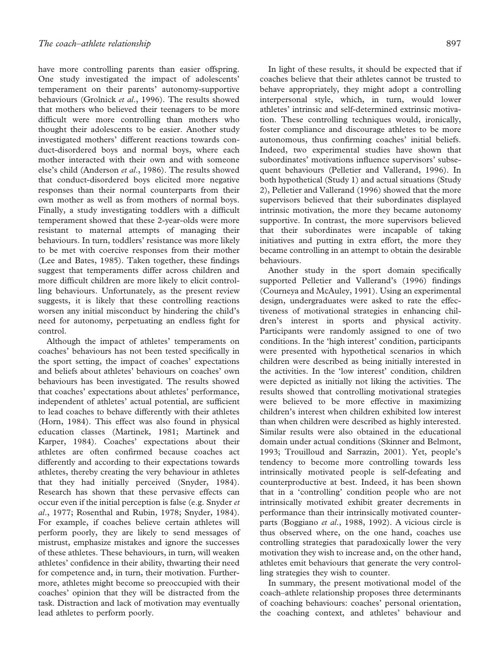have more controlling parents than easier offspring. One study investigated the impact of adolescents' temperament on their parents' autonomy-supportive behaviours (Grolnick et al., 1996). The results showed that mothers who believed their teenagers to be more difficult were more controlling than mothers who thought their adolescents to be easier. Another study investigated mothers' different reactions towards conduct-disordered boys and normal boys, where each mother interacted with their own and with someone else's child (Anderson et al., 1986). The results showed that conduct-disordered boys elicited more negative responses than their normal counterparts from their own mother as well as from mothers of normal boys. Finally, a study investigating toddlers with a difficult temperament showed that these 2-year-olds were more resistant to maternal attempts of managing their behaviours. In turn, toddlers' resistance was more likely to be met with coercive responses from their mother (Lee and Bates, 1985). Taken together, these findings suggest that temperaments differ across children and more difficult children are more likely to elicit controlling behaviours. Unfortunately, as the present review suggests, it is likely that these controlling reactions worsen any initial misconduct by hindering the child's need for autonomy, perpetuating an endless fight for control.

Although the impact of athletes' temperaments on coaches' behaviours has not been tested specifically in the sport setting, the impact of coaches' expectations and beliefs about athletes' behaviours on coaches' own behaviours has been investigated. The results showed that coaches' expectations about athletes' performance, independent of athletes' actual potential, are sufficient to lead coaches to behave differently with their athletes (Horn, 1984). This effect was also found in physical education classes (Martinek, 1981; Martinek and Karper, 1984). Coaches' expectations about their athletes are often confirmed because coaches act differently and according to their expectations towards athletes, thereby creating the very behaviour in athletes that they had initially perceived (Snyder, 1984). Research has shown that these pervasive effects can occur even if the initial perception is false (e.g. Snyder et al., 1977; Rosenthal and Rubin, 1978; Snyder, 1984). For example, if coaches believe certain athletes will perform poorly, they are likely to send messages of mistrust, emphasize mistakes and ignore the successes of these athletes. These behaviours, in turn, will weaken athletes' confidence in their ability, thwarting their need for competence and, in turn, their motivation. Furthermore, athletes might become so preoccupied with their coaches' opinion that they will be distracted from the task. Distraction and lack of motivation may eventually lead athletes to perform poorly.

In light of these results, it should be expected that if coaches believe that their athletes cannot be trusted to behave appropriately, they might adopt a controlling interpersonal style, which, in turn, would lower athletes' intrinsic and self-determined extrinsic motivation. These controlling techniques would, ironically, foster compliance and discourage athletes to be more autonomous, thus confirming coaches' initial beliefs. Indeed, two experimental studies have shown that

subordinates' motivations influence supervisors' subsequent behaviours (Pelletier and Vallerand, 1996). In both hypothetical (Study 1) and actual situations (Study 2), Pelletier and Vallerand (1996) showed that the more supervisors believed that their subordinates displayed intrinsic motivation, the more they became autonomy supportive. In contrast, the more supervisors believed that their subordinates were incapable of taking initiatives and putting in extra effort, the more they became controlling in an attempt to obtain the desirable behaviours.

Another study in the sport domain specifically supported Pelletier and Vallerand's (1996) findings (Courneya and McAuley, 1991). Using an experimental design, undergraduates were asked to rate the effectiveness of motivational strategies in enhancing children's interest in sports and physical activity. Participants were randomly assigned to one of two conditions. In the 'high interest' condition, participants were presented with hypothetical scenarios in which children were described as being initially interested in the activities. In the 'low interest' condition, children were depicted as initially not liking the activities. The results showed that controlling motivational strategies were believed to be more effective in maximizing children's interest when children exhibited low interest than when children were described as highly interested. Similar results were also obtained in the educational domain under actual conditions (Skinner and Belmont, 1993; Trouilloud and Sarrazin, 2001). Yet, people's tendency to become more controlling towards less intrinsically motivated people is self-defeating and counterproductive at best. Indeed, it has been shown that in a 'controlling' condition people who are not intrinsically motivated exhibit greater decrements in performance than their intrinsically motivated counterparts (Boggiano et al., 1988, 1992). A vicious circle is thus observed where, on the one hand, coaches use controlling strategies that paradoxically lower the very motivation they wish to increase and, on the other hand, athletes emit behaviours that generate the very controlling strategies they wish to counter.

In summary, the present motivational model of the coach–athlete relationship proposes three determinants of coaching behaviours: coaches' personal orientation, the coaching context, and athletes' behaviour and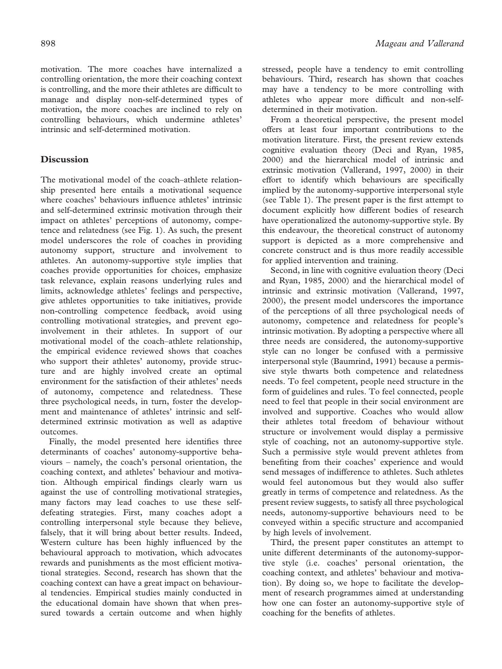motivation. The more coaches have internalized a controlling orientation, the more their coaching context is controlling, and the more their athletes are difficult to manage and display non-self-determined types of motivation, the more coaches are inclined to rely on controlling behaviours, which undermine athletes' intrinsic and self-determined motivation.

# Discussion

The motivational model of the coach–athlete relationship presented here entails a motivational sequence where coaches' behaviours influence athletes' intrinsic and self-determined extrinsic motivation through their impact on athletes' perceptions of autonomy, competence and relatedness (see Fig. 1). As such, the present model underscores the role of coaches in providing autonomy support, structure and involvement to athletes. An autonomy-supportive style implies that coaches provide opportunities for choices, emphasize task relevance, explain reasons underlying rules and limits, acknowledge athletes' feelings and perspective, give athletes opportunities to take initiatives, provide non-controlling competence feedback, avoid using controlling motivational strategies, and prevent egoinvolvement in their athletes. In support of our motivational model of the coach–athlete relationship, the empirical evidence reviewed shows that coaches who support their athletes' autonomy, provide structure and are highly involved create an optimal environment for the satisfaction of their athletes' needs of autonomy, competence and relatedness. These three psychological needs, in turn, foster the development and maintenance of athletes' intrinsic and selfdetermined extrinsic motivation as well as adaptive outcomes.

Finally, the model presented here identifies three determinants of coaches' autonomy-supportive behaviours – namely, the coach's personal orientation, the coaching context, and athletes' behaviour and motivation. Although empirical findings clearly warn us against the use of controlling motivational strategies, many factors may lead coaches to use these selfdefeating strategies. First, many coaches adopt a controlling interpersonal style because they believe, falsely, that it will bring about better results. Indeed, Western culture has been highly influenced by the behavioural approach to motivation, which advocates rewards and punishments as the most efficient motivational strategies. Second, research has shown that the coaching context can have a great impact on behavioural tendencies. Empirical studies mainly conducted in the educational domain have shown that when pressured towards a certain outcome and when highly stressed, people have a tendency to emit controlling behaviours. Third, research has shown that coaches may have a tendency to be more controlling with athletes who appear more difficult and non-selfdetermined in their motivation.

From a theoretical perspective, the present model offers at least four important contributions to the motivation literature. First, the present review extends cognitive evaluation theory (Deci and Ryan, 1985, 2000) and the hierarchical model of intrinsic and extrinsic motivation (Vallerand, 1997, 2000) in their effort to identify which behaviours are specifically implied by the autonomy-supportive interpersonal style (see Table 1). The present paper is the first attempt to document explicitly how different bodies of research have operationalized the autonomy-supportive style. By this endeavour, the theoretical construct of autonomy support is depicted as a more comprehensive and concrete construct and is thus more readily accessible for applied intervention and training.

Second, in line with cognitive evaluation theory (Deci and Ryan, 1985, 2000) and the hierarchical model of intrinsic and extrinsic motivation (Vallerand, 1997, 2000), the present model underscores the importance of the perceptions of all three psychological needs of autonomy, competence and relatedness for people's intrinsic motivation. By adopting a perspective where all three needs are considered, the autonomy-supportive style can no longer be confused with a permissive interpersonal style (Baumrind, 1991) because a permissive style thwarts both competence and relatedness needs. To feel competent, people need structure in the form of guidelines and rules. To feel connected, people need to feel that people in their social environment are involved and supportive. Coaches who would allow their athletes total freedom of behaviour without structure or involvement would display a permissive style of coaching, not an autonomy-supportive style. Such a permissive style would prevent athletes from benefiting from their coaches' experience and would send messages of indifference to athletes. Such athletes would feel autonomous but they would also suffer greatly in terms of competence and relatedness. As the present review suggests, to satisfy all three psychological needs, autonomy-supportive behaviours need to be conveyed within a specific structure and accompanied by high levels of involvement.

Third, the present paper constitutes an attempt to unite different determinants of the autonomy-supportive style (i.e. coaches' personal orientation, the coaching context, and athletes' behaviour and motivation). By doing so, we hope to facilitate the development of research programmes aimed at understanding how one can foster an autonomy-supportive style of coaching for the benefits of athletes.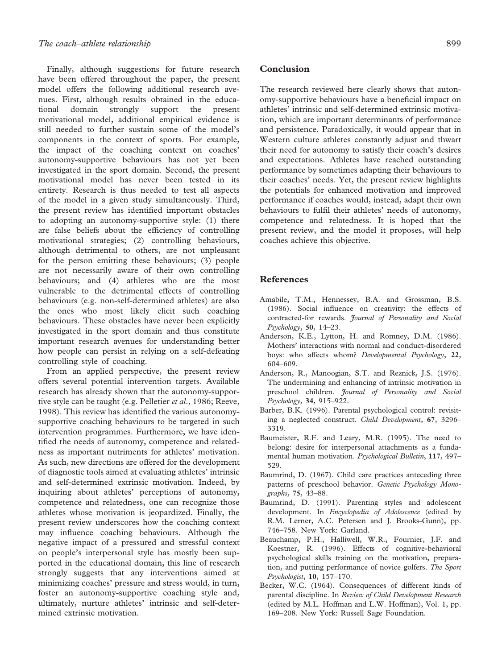Finally, although suggestions for future research have been offered throughout the paper, the present model offers the following additional research avenues. First, although results obtained in the educational domain strongly support the present motivational model, additional empirical evidence is still needed to further sustain some of the model's components in the context of sports. For example, the impact of the coaching context on coaches' autonomy-supportive behaviours has not yet been investigated in the sport domain. Second, the present motivational model has never been tested in its entirety. Research is thus needed to test all aspects of the model in a given study simultaneously. Third, the present review has identified important obstacles to adopting an autonomy-supportive style: (1) there are false beliefs about the efficiency of controlling motivational strategies; (2) controlling behaviours, although detrimental to others, are not unpleasant for the person emitting these behaviours; (3) people are not necessarily aware of their own controlling behaviours; and (4) athletes who are the most vulnerable to the detrimental effects of controlling behaviours (e.g. non-self-determined athletes) are also the ones who most likely elicit such coaching behaviours. These obstacles have never been explicitly investigated in the sport domain and thus constitute important research avenues for understanding better how people can persist in relying on a self-defeating controlling style of coaching.

From an applied perspective, the present review offers several potential intervention targets. Available research has already shown that the autonomy-supportive style can be taught (e.g. Pelletier et al., 1986; Reeve, 1998). This review has identified the various autonomysupportive coaching behaviours to be targeted in such intervention programmes. Furthermore, we have identified the needs of autonomy, competence and relatedness as important nutriments for athletes' motivation. As such, new directions are offered for the development of diagnostic tools aimed at evaluating athletes' intrinsic and self-determined extrinsic motivation. Indeed, by inquiring about athletes' perceptions of autonomy, competence and relatedness, one can recognize those athletes whose motivation is jeopardized. Finally, the present review underscores how the coaching context may influence coaching behaviours. Although the negative impact of a pressured and stressful context on people's interpersonal style has mostly been supported in the educational domain, this line of research strongly suggests that any interventions aimed at minimizing coaches' pressure and stress would, in turn, foster an autonomy-supportive coaching style and, ultimately, nurture athletes' intrinsic and self-determined extrinsic motivation.

## Conclusion

The research reviewed here clearly shows that autonomy-supportive behaviours have a beneficial impact on athletes' intrinsic and self-determined extrinsic motivation, which are important determinants of performance and persistence. Paradoxically, it would appear that in Western culture athletes constantly adjust and thwart their need for autonomy to satisfy their coach's desires and expectations. Athletes have reached outstanding performance by sometimes adapting their behaviours to their coaches' needs. Yet, the present review highlights the potentials for enhanced motivation and improved performance if coaches would, instead, adapt their own behaviours to fulfil their athletes' needs of autonomy, competence and relatedness. It is hoped that the present review, and the model it proposes, will help coaches achieve this objective.

# References

- Amabile, T.M., Hennessey, B.A. and Grossman, B.S. (1986). Social influence on creativity: the effects of contracted-for rewards. Journal of Personality and Social Psychology, 50, 14–23.
- Anderson, K.E., Lytton, H. and Romney, D.M. (1986). Mothers' interactions with normal and conduct-disordered boys: who affects whom? Developmental Psychology, 22, 604–609.
- Anderson, R., Manoogian, S.T. and Reznick, J.S. (1976). The undermining and enhancing of intrinsic motivation in preschool children. Journal of Personality and Social Psychology, 34, 915–922.
- Barber, B.K. (1996). Parental psychological control: revisiting a neglected construct. Child Development, 67, 3296– 3319.
- Baumeister, R.F. and Leary, M.R. (1995). The need to belong: desire for interpersonal attachments as a fundamental human motivation. Psychological Bulletin, 117, 497– 529.
- Baumrind, D. (1967). Child care practices anteceding three patterns of preschool behavior. Genetic Psychology Monographs, 75, 43–88.
- Baumrind, D. (1991). Parenting styles and adolescent development. In Encyclopedia of Adolescence (edited by R.M. Lerner, A.C. Petersen and J. Brooks-Gunn), pp. 746–758. New York: Garland.
- Beauchamp, P.H., Halliwell, W.R., Fournier, J.F. and Koestner, R. (1996). Effects of cognitive-behavioral psychological skills training on the motivation, preparation, and putting performance of novice golfers. The Sport Psychologist, 10, 157–170.
- Becker, W.C. (1964). Consequences of different kinds of parental discipline. In Review of Child Development Research (edited by M.L. Hoffman and L.W. Hoffman), Vol. 1, pp. 169–208. New York: Russell Sage Foundation.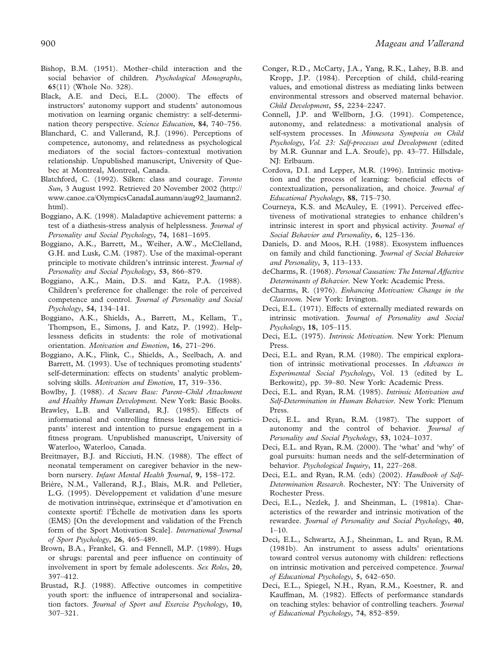- Bishop, B.M. (1951). Mother–child interaction and the social behavior of children. Psychological Monographs, 65(11) (Whole No. 328).
- Black, A.E. and Deci, E.L. (2000). The effects of instructors' autonomy support and students' autonomous motivation on learning organic chemistry: a self-determination theory perspective. Science Education, 84, 740–756.
- Blanchard, C. and Vallerand, R.J. (1996). Perceptions of competence, autonomy, and relatedness as psychological mediators of the social factors–contextual motivation relationship. Unpublished manuscript, University of Quebec at Montreal, Montreal, Canada.
- Blatchford, C. (1992). Silken: class and courage. Toronto Sun, 3 August 1992. Retrieved 20 November 2002 (http:// www.canoe.ca/OlympicsCanadaLaumann/aug92\_laumann2. html).
- Boggiano, A.K. (1998). Maladaptive achievement patterns: a test of a diathesis-stress analysis of helplessness. Journal of Personality and Social Psychology, 74, 1681–1695.
- Boggiano, A.K., Barrett, M., Weiher, A.W., McClelland, G.H. and Lusk, C.M. (1987). Use of the maximal-operant principle to motivate children's intrinsic interest. *Journal of* Personality and Social Psychology, 53, 866-879.
- Boggiano, A.K., Main, D.S. and Katz, P.A. (1988). Children's preference for challenge: the role of perceived competence and control. Journal of Personality and Social Psychology, 54, 134–141.
- Boggiano, A.K., Shields, A., Barrett, M., Kellam, T., Thompson, E., Simons, J. and Katz, P. (1992). Helplessness deficits in students: the role of motivational orientation. Motivation and Emotion, 16, 271–296.
- Boggiano, A.K., Flink, C., Shields, A., Seelbach, A. and Barrett, M. (1993). Use of techniques promoting students' self-determination: effects on students' analytic problemsolving skills. Motivation and Emotion, 17, 319-336.
- Bowlby, J. (1988). A Secure Base: Parent–Child Attachment and Healthy Human Development. New York: Basic Books.
- Brawley, L.B. and Vallerand, R.J. (1985). Effects of informational and controlling fitness leaders on participants' interest and intention to pursue engagement in a fitness program. Unpublished manuscript, University of Waterloo, Waterloo, Canada.
- Breitmayer, B.J. and Ricciuti, H.N. (1988). The effect of neonatal temperament on caregiver behavior in the newborn nursery. Infant Mental Health Journal, 9, 158-172.
- Brière, N.M., Vallerand, R.J., Blais, M.R. and Pelletier, L.G. (1995). Développement et validation d'une mesure de motivation intrinsèque, extrinsèque et d'amotivation en contexte sportif: l'Échelle de motivation dans les sports (EMS) [On the development and validation of the French form of the Sport Motivation Scale]. International Journal of Sport Psychology, 26, 465–489.
- Brown, B.A., Frankel, G. and Fennell, M.P. (1989). Hugs or shrugs: parental and peer influence on continuity of involvement in sport by female adolescents. Sex Roles, 20, 397–412.
- Brustad, R.J. (1988). Affective outcomes in competitive youth sport: the influence of intrapersonal and socialization factors. *Fournal of Sport and Exercise Psychology*, 10, 307–321.
- Conger, R.D., McCarty, J.A., Yang, R.K., Lahey, B.B. and Kropp, J.P. (1984). Perception of child, child-rearing values, and emotional distress as mediating links between environmental stressors and observed maternal behavior. Child Development, 55, 2234–2247.
- Connell, J.P. and Wellborn, J.G. (1991). Competence, autonomy, and relatedness: a motivational analysis of self-system processes. In Minnesota Symposia on Child Psychology, Vol. 23: Self-processes and Development (edited by M.R. Gunnar and L.A. Sroufe), pp. 43–77. Hillsdale, NJ: Erlbaum.
- Cordova, D.I. and Lepper, M.R. (1996). Intrinsic motivation and the process of learning: beneficial effects of contextualization, personalization, and choice. Journal of Educational Psychology, 88, 715–730.
- Courneya, K.S. and McAuley, E. (1991). Perceived effectiveness of motivational strategies to enhance children's intrinsic interest in sport and physical activity. *Journal of* Social Behavior and Personality, 6, 125-136.
- Daniels, D. and Moos, R.H. (1988). Exosystem influences on family and child functioning. Journal of Social Behavior and Personality, 3, 113–133.
- deCharms, R. (1968). Personal Causation: The Internal Affective Determinants of Behavior. New York: Academic Press.
- deCharms, R. (1976). Enhancing Motivation: Change in the Classroom. New York: Irvington.
- Deci, E.L. (1971). Effects of externally mediated rewards on intrinsic motivation. Journal of Personality and Social Psychology, 18, 105–115.
- Deci, E.L. (1975). Intrinsic Motivation. New York: Plenum Press.
- Deci, E.L. and Ryan, R.M. (1980). The empirical exploration of intrinsic motivational processes. In Advances in Experimental Social Psychology, Vol. 13 (edited by L. Berkowitz), pp. 39–80. New York: Academic Press.
- Deci, E.L. and Ryan, R.M. (1985). Intrinsic Motivation and Self-Determination in Human Behavior. New York: Plenum Press.
- Deci, E.L. and Ryan, R.M. (1987). The support of autonomy and the control of behavior. Journal of Personality and Social Psychology, 53, 1024–1037.
- Deci, E.L. and Ryan, R.M. (2000). The 'what' and 'why' of goal pursuits: human needs and the self-determination of behavior. Psychological Inquiry, 11, 227–268.
- Deci, E.L. and Ryan, R.M. (eds) (2002). Handbook of Self-Determination Research. Rochester, NY: The University of Rochester Press.
- Deci, E.L., Nezlek, J. and Sheinman, L. (1981a). Characteristics of the rewarder and intrinsic motivation of the rewardee. Journal of Personality and Social Psychology, 40,  $1 - 10$ .
- Deci, E.L., Schwartz, A.J., Sheinman, L. and Ryan, R.M. (1981b). An instrument to assess adults' orientations toward control versus autonomy with children: reflections on intrinsic motivation and perceived competence. *Journal* of Educational Psychology, 5, 642–650.
- Deci, E.L., Spiegel, N.H., Ryan, R.M., Koestner, R. and Kauffman, M. (1982). Effects of performance standards on teaching styles: behavior of controlling teachers. *Journal* of Educational Psychology, 74, 852–859.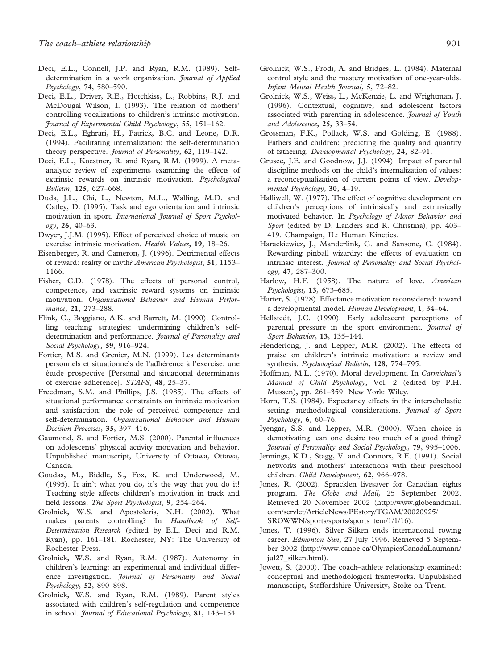- Deci, E.L., Connell, J.P. and Ryan, R.M. (1989). Selfdetermination in a work organization. Journal of Applied Psychology, 74, 580–590.
- Deci, E.L., Driver, R.E., Hotchkiss, L., Robbins, R.J. and McDougal Wilson, I. (1993). The relation of mothers' controlling vocalizations to children's intrinsic motivation. Journal of Experimental Child Psychology, 55, 151–162.
- Deci, E.L., Eghrari, H., Patrick, B.C. and Leone, D.R. (1994). Facilitating internalization: the self-determination theory perspective. Journal of Personality, 62, 119-142.
- Deci, E.L., Koestner, R. and Ryan, R.M. (1999). A metaanalytic review of experiments examining the effects of extrinsic rewards on intrinsic motivation. Psychological Bulletin, 125, 627–668.
- Duda, J.L., Chi, L., Newton, M.L., Walling, M.D. and Catley, D. (1995). Task and ego orientation and intrinsic motivation in sport. International Journal of Sport Psychology, 26, 40–63.
- Dwyer, J.J.M. (1995). Effect of perceived choice of music on exercise intrinsic motivation. Health Values, 19, 18–26.
- Eisenberger, R. and Cameron, J. (1996). Detrimental effects of reward: reality or myth? American Psychologist, 51, 1153– 1166.
- Fisher, C.D. (1978). The effects of personal control, competence, and extrinsic reward systems on intrinsic motivation. Organizational Behavior and Human Performance, 21, 273–288.
- Flink, C., Boggiano, A.K. and Barrett, M. (1990). Controlling teaching strategies: undermining children's selfdetermination and performance. Journal of Personality and Social Psychology, 59, 916–924.
- Fortier, M.S. and Grenier, M.N. (1999). Les déterminants personnels et situationnels de l'adhérence à l'exercise: une étude prospective [Personal and situational determinants of exercise adherence]. STAPS, 48, 25–37.
- Freedman, S.M. and Phillips, J.S. (1985). The effects of situational performance constraints on intrinsic motivation and satisfaction: the role of perceived competence and self-determination. Organizational Behavior and Human Decision Processes, 35, 397–416.
- Gaumond, S. and Fortier, M.S. (2000). Parental influences on adolescents' physical activity motivation and behavior. Unpublished manuscript, University of Ottawa, Ottawa, Canada.
- Goudas, M., Biddle, S., Fox, K. and Underwood, M. (1995). It ain't what you do, it's the way that you do it! Teaching style affects children's motivation in track and field lessons. The Sport Psychologist, 9, 254–264.
- Grolnick, W.S. and Apostoleris, N.H. (2002). What makes parents controlling? In Handbook of Self-Determination Research (edited by E.L. Deci and R.M. Ryan), pp. 161–181. Rochester, NY: The University of Rochester Press.
- Grolnick, W.S. and Ryan, R.M. (1987). Autonomy in children's learning: an experimental and individual difference investigation. Journal of Personality and Social Psychology, 52, 890–898.
- Grolnick, W.S. and Ryan, R.M. (1989). Parent styles associated with children's self-regulation and competence in school. Journal of Educational Psychology, 81, 143-154.
- Grolnick, W.S., Frodi, A. and Bridges, L. (1984). Maternal control style and the mastery motivation of one-year-olds. Infant Mental Health Fournal, 5, 72–82.
- Grolnick, W.S., Weiss, L., McKenzie, L. and Wrightman, J. (1996). Contextual, cognitive, and adolescent factors associated with parenting in adolescence. Journal of Youth and Adolescence, 25, 33–54.
- Grossman, F.K., Pollack, W.S. and Golding, E. (1988). Fathers and children: predicting the quality and quantity of fathering. Developmental Psychology, 24, 82–91.
- Grusec, J.E. and Goodnow, J.J. (1994). Impact of parental discipline methods on the child's internalization of values: a reconceptualization of current points of view. Developmental Psychology, 30, 4–19.
- Halliwell, W. (1977). The effect of cognitive development on children's perceptions of intrinsically and extrinsically motivated behavior. In Psychology of Motor Behavior and Sport (edited by D. Landers and R. Christina), pp. 403– 419. Champaign, IL: Human Kinetics.
- Harackiewicz, J., Manderlink, G. and Sansone, C. (1984). Rewarding pinball wizardry: the effects of evaluation on intrinsic interest. *Fournal of Personality and Social Psychol*ogy, 47, 287–300.
- Harlow, H.F. (1958). The nature of love. American Psychologist, 13, 673–685.
- Harter, S. (1978). Effectance motivation reconsidered: toward a developmental model. Human Development, 1, 34–64.
- Hellstedt, J.C. (1990). Early adolescent perceptions of parental pressure in the sport environment. Journal of Sport Behavior, 13, 135–144.
- Henderlong, J. and Lepper, M.R. (2002). The effects of praise on children's intrinsic motivation: a review and synthesis. Psychological Bulletin, 128, 774–795.
- Hoffman, M.L. (1970). Moral development. In Carmichael's Manual of Child Psychology, Vol. 2 (edited by P.H. Mussen), pp. 261–359. New York: Wiley.
- Horn, T.S. (1984). Expectancy effects in the interscholastic setting: methodological considerations. *Journal of Sport* Psychology, 6, 60–76.
- Iyengar, S.S. and Lepper, M.R. (2000). When choice is demotivating: can one desire too much of a good thing? Journal of Personality and Social Psychology, 79, 995–1006.
- Jennings, K.D., Stagg, V. and Connors, R.E. (1991). Social networks and mothers' interactions with their preschool children. Child Development, 62, 966–978.
- Jones, R. (2002). Spracklen livesaver for Canadian eights program. The Globe and Mail, 25 September 2002. Retrieved 20 November 2002 (http://www.globeandmail. com/servlet/ArticleNews/PEstory/TGAM/20020925/ SROWWN/sports/sports/sports\_tem/1/1/16).
- Jones, T. (1996). Silver Silken ends international rowing career. Edmonton Sun, 27 July 1996. Retrieved 5 September 2002 (http://www.canoe.ca/OlympicsCanadaLaumann/ jul27\_silken.html).
- Jowett, S. (2000). The coach–athlete relationship examined: conceptual and methodological frameworks. Unpublished manuscript, Staffordshire University, Stoke-on-Trent.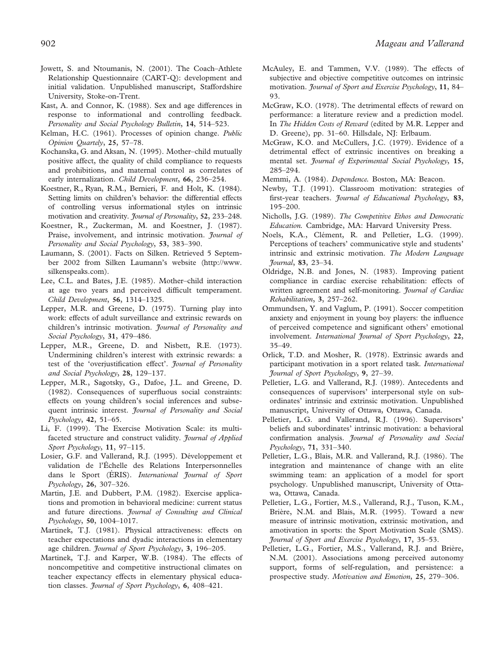- Jowett, S. and Ntoumanis, N. (2001). The Coach–Athlete Relationship Questionnaire (CART-Q): development and initial validation. Unpublished manuscript, Staffordshire University, Stoke-on-Trent.
- Kast, A. and Connor, K. (1988). Sex and age differences in response to informational and controlling feedback. Personality and Social Psychology Bulletin, 14, 514–523.
- Kelman, H.C. (1961). Processes of opinion change. Public Opinion Quartely, 25, 57–78.
- Kochanska, G. and Aksan, N. (1995). Mother–child mutually positive affect, the quality of child compliance to requests and prohibitions, and maternal control as correlates of early internalization. Child Development, 66, 236-254.
- Koestner, R., Ryan, R.M., Bernieri, F. and Holt, K. (1984). Setting limits on children's behavior: the differential effects of controlling versus informational styles on intrinsic motivation and creativity. *Journal of Personality*, 52, 233–248.
- Koestner, R., Zuckerman, M. and Koestner, J. (1987). Praise, involvement, and intrinsic motivation. Journal of Personality and Social Psychology, 53, 383–390.
- Laumann, S. (2001). Facts on Silken. Retrieved 5 September 2002 from Silken Laumann's website (http://www. silkenspeaks.com).
- Lee, C.L. and Bates, J.E. (1985). Mother–child interaction at age two years and perceived difficult temperament. Child Development, 56, 1314–1325.
- Lepper, M.R. and Greene, D. (1975). Turning play into work: effects of adult surveillance and extrinsic rewards on children's intrinsic motivation. Journal of Personality and Social Psychology, 31, 479–486.
- Lepper, M.R., Greene, D. and Nisbett, R.E. (1973). Undermining children's interest with extrinsic rewards: a test of the 'overjustification effect'. Journal of Personality and Social Psychology, 28, 129–137.
- Lepper, M.R., Sagotsky, G., Dafoe, J.L. and Greene, D. (1982). Consequences of superfluous social constraints: effects on young children's social inferences and subsequent intrinsic interest. *Journal of Personality and Social* Psychology, 42, 51–65.
- Li, F. (1999). The Exercise Motivation Scale: its multifaceted structure and construct validity. Journal of Applied Sport Psychology, 11, 97–115.
- Losier, G.F. and Vallerand, R.J. (1995). Développement et validation de l'Échelle des Relations Interpersonnelles dans le Sport (ERIS). International Journal of Sport Psychology, 26, 307–326.
- Martin, J.E. and Dubbert, P.M. (1982). Exercise applications and promotion in behavioral medicine: current status and future directions. Journal of Consulting and Clinical Psychology, 50, 1004–1017.
- Martinek, T.J. (1981). Physical attractiveness: effects on teacher expectations and dyadic interactions in elementary age children. Journal of Sport Psychology, 3, 196-205.
- Martinek, T.J. and Karper, W.B. (1984). The effects of noncompetitive and competitive instructional climates on teacher expectancy effects in elementary physical education classes. Journal of Sport Psychology, 6, 408-421.
- McAuley, E. and Tammen, V.V. (1989). The effects of subjective and objective competitive outcomes on intrinsic motivation. *Journal of Sport and Exercise Psychology*, 11, 84– 93.
- McGraw, K.O. (1978). The detrimental effects of reward on performance: a literature review and a prediction model. In The Hidden Costs of Reward (edited by M.R. Lepper and D. Greene), pp. 31–60. Hillsdale, NJ: Erlbaum.
- McGraw, K.O. and McCullers, J.C. (1979). Evidence of a detrimental effect of extrinsic incentives on breaking a mental set. Journal of Experimental Social Psychology, 15, 285–294.
- Memmi, A. (1984). Dependence. Boston, MA: Beacon.
- Newby, T.J. (1991). Classroom motivation: strategies of first-year teachers. Journal of Educational Psychology, 83, 195–200.
- Nicholls, J.G. (1989). The Competitive Ethos and Democratic Education. Cambridge, MA: Harvard University Press.
- Noels, K.A., Clément, R. and Pelletier, L.G. (1999). Perceptions of teachers' communicative style and students' intrinsic and extrinsic motivation. The Modern Language Journal, 83, 23–34.
- Oldridge, N.B. and Jones, N. (1983). Improving patient compliance in cardiac exercise rehabilitation: effects of written agreement and self-monitoring. *Journal of Cardiac* Rehabilitation, 3, 257–262.
- Ommundsen, Y. and Vaglum, P. (1991). Soccer competition anxiety and enjoyment in young boy players: the influence of perceived competence and significant others' emotional involvement. International Journal of Sport Psychology, 22, 35–49.
- Orlick, T.D. and Mosher, R. (1978). Extrinsic awards and participant motivation in a sport related task. International Journal of Sport Psychology, 9, 27–39.
- Pelletier, L.G. and Vallerand, R.J. (1989). Antecedents and consequences of supervisors' interpersonal style on subordinates' intrinsic and extrinsic motivation. Unpublished manuscript, University of Ottawa, Ottawa, Canada.
- Pelletier, L.G. and Vallerand, R.J. (1996). Supervisors' beliefs and subordinates' intrinsic motivation: a behavioral confirmation analysis. Journal of Personality and Social Psychology, 71, 331–340.
- Pelletier, L.G., Blais, M.R. and Vallerand, R.J. (1986). The integration and maintenance of change with an elite swimming team: an application of a model for sport psychology. Unpublished manuscript, University of Ottawa, Ottawa, Canada.
- Pelletier, L.G., Fortier, M.S., Vallerand, R.J., Tuson, K.M., Brière, N.M. and Blais, M.R. (1995). Toward a new measure of intrinsic motivation, extrinsic motivation, and amotivation in sports: the Sport Motivation Scale (SMS). Journal of Sport and Exercise Psychology, 17, 35–53.
- Pelletier, L.G., Fortier, M.S., Vallerand, R.J. and Brière, N.M. (2001). Associations among perceived autonomy support, forms of self-regulation, and persistence: a prospective study. Motivation and Emotion, 25, 279–306.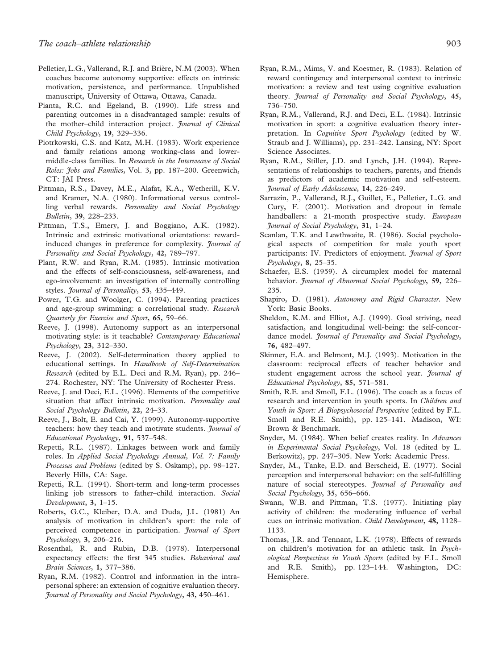- Pelletier, L.G., Vallerand, R.J. and Brière, N.M (2003). When coaches become autonomy supportive: effects on intrinsic motivation, persistence, and performance. Unpublished manuscript, University of Ottawa, Ottawa, Canada.
- Pianta, R.C. and Egeland, B. (1990). Life stress and parenting outcomes in a disadvantaged sample: results of the mother-child interaction project. Journal of Clinical Child Psychology, 19, 329–336.
- Piotrkowski, C.S. and Katz, M.H. (1983). Work experience and family relations among working-class and lowermiddle-class families. In Research in the Interweave of Social Roles: Jobs and Families, Vol. 3, pp. 187-200. Greenwich, CT: JAI Press.
- Pittman, R.S., Davey, M.E., Alafat, K.A., Wetherill, K.V. and Kramer, N.A. (1980). Informational versus controlling verbal rewards. Personality and Social Psychology Bulletin, 39, 228–233.
- Pittman, T.S., Emery, J. and Boggiano, A.K. (1982). Intrinsic and extrinsic motivational orientations: rewardinduced changes in preference for complexity. Journal of Personality and Social Psychology, 42, 789–797.
- Plant, R.W. and Ryan, R.M. (1985). Intrinsic motivation and the effects of self-consciousness, self-awareness, and ego-involvement: an investigation of internally controlling styles. Journal of Personality, 53, 435-449.
- Power, T.G. and Woolger, C. (1994). Parenting practices and age-group swimming: a correlational study. Research Quarterly for Exercise and Sport, 65, 59–66.
- Reeve, J. (1998). Autonomy support as an interpersonal motivating style: is it teachable? Contemporary Educational Psychology, 23, 312–330.
- Reeve, J. (2002). Self-determination theory applied to educational settings. In Handbook of Self-Determination Research (edited by E.L. Deci and R.M. Ryan), pp. 246– 274. Rochester, NY: The University of Rochester Press.
- Reeve, J. and Deci, E.L. (1996). Elements of the competitive situation that affect intrinsic motivation. Personality and Social Psychology Bulletin, 22, 24–33.
- Reeve, J., Bolt, E. and Cai, Y. (1999). Autonomy-supportive teachers: how they teach and motivate students. Journal of Educational Psychology, 91, 537–548.
- Repetti, R.L. (1987). Linkages between work and family roles. In Applied Social Psychology Annual, Vol. 7: Family Processes and Problems (edited by S. Oskamp), pp. 98–127. Beverly Hills, CA: Sage.
- Repetti, R.L. (1994). Short-term and long-term processes linking job stressors to father–child interaction. Social Development, 3, 1–15.
- Roberts, G.C., Kleiber, D.A. and Duda, J.L. (1981) An analysis of motivation in children's sport: the role of perceived competence in participation. Journal of Sport Psychology, 3, 206–216.
- Rosenthal, R. and Rubin, D.B. (1978). Interpersonal expectancy effects: the first 345 studies. Behavioral and Brain Sciences, 1, 377–386.
- Ryan, R.M. (1982). Control and information in the intrapersonal sphere: an extension of cognitive evaluation theory. Journal of Personality and Social Psychology, 43, 450–461.
- Ryan, R.M., Mims, V. and Koestner, R. (1983). Relation of reward contingency and interpersonal context to intrinsic motivation: a review and test using cognitive evaluation theory. Journal of Personality and Social Psychology, 45, 736–750.
- Ryan, R.M., Vallerand, R.J. and Deci, E.L. (1984). Intrinsic motivation in sport: a cognitive evaluation theory interpretation. In Cognitive Sport Psychology (edited by W. Straub and J. Williams), pp. 231–242. Lansing, NY: Sport Science Associates.
- Ryan, R.M., Stiller, J.D. and Lynch, J.H. (1994). Representations of relationships to teachers, parents, and friends as predictors of academic motivation and self-esteem. Journal of Early Adolescence, 14, 226–249.
- Sarrazin, P., Vallerand, R.J., Guillet, E., Pelletier, L.G. and Cury, F. (2001). Motivation and dropout in female handballers: a 21-month prospective study. European Journal of Social Psychology, 31, 1–24.
- Scanlan, T.K. and Lewthwaite, R. (1986). Social psychological aspects of competition for male youth sport participants: IV. Predictors of enjoyment. Journal of Sport Psychology, 8, 25–35.
- Schaefer, E.S. (1959). A circumplex model for maternal behavior. Journal of Abnormal Social Psychology, 59, 226– 235.
- Shapiro, D. (1981). Autonomy and Rigid Character. New York: Basic Books.
- Sheldon, K.M. and Elliot, A.J. (1999). Goal striving, need satisfaction, and longitudinal well-being: the self-concordance model. Journal of Personality and Social Psychology, 76, 482–497.
- Skinner, E.A. and Belmont, M.J. (1993). Motivation in the classroom: reciprocal effects of teacher behavior and student engagement across the school year. Journal of Educational Psychology, 85, 571–581.
- Smith, R.E. and Smoll, F.L. (1996). The coach as a focus of research and intervention in youth sports. In Children and Youth in Sport: A Biopsychosocial Perspective (edited by F.L. Smoll and R.E. Smith), pp. 125–141. Madison, WI: Brown & Benchmark.
- Snyder, M. (1984). When belief creates reality. In Advances in Experimental Social Psychology, Vol. 18 (edited by L. Berkowitz), pp. 247–305. New York: Academic Press.
- Snyder, M., Tanke, E.D. and Berscheid, E. (1977). Social perception and interpersonal behavior: on the self-fulfilling nature of social stereotypes. Journal of Personality and Social Psychology, 35, 656-666.
- Swann, W.B. and Pittman, T.S. (1977). Initiating play activity of children: the moderating influence of verbal cues on intrinsic motivation. Child Development, 48, 1128– 1133.
- Thomas, J.R. and Tennant, L.K. (1978). Effects of rewards on children's motivation for an athletic task. In Psychological Perspectives in Youth Sports (edited by F.L. Smoll and R.E. Smith), pp. 123–144. Washington, DC: Hemisphere.